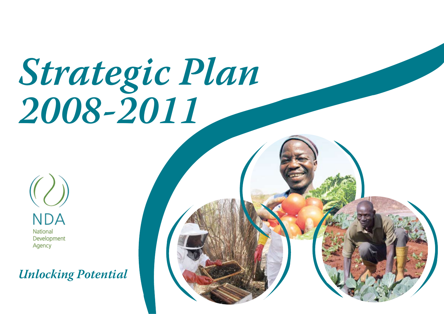# *Strategic Plan 2008-2011*

**NDA** National Development Agency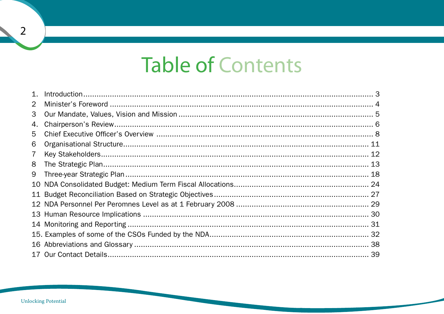# **Table of Contents**

| 1.             |  |
|----------------|--|
| 2              |  |
| 3              |  |
| 4.             |  |
| 5              |  |
| 6              |  |
| $\overline{7}$ |  |
| 8              |  |
| 9              |  |
| 10             |  |
| 11             |  |
|                |  |
|                |  |
|                |  |
|                |  |
|                |  |
|                |  |

 $\overline{2}$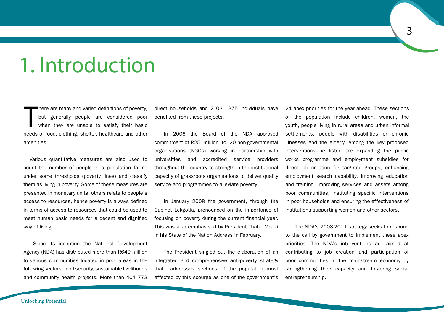# 1. Introduction

T here are many and varied definitions of poverty, but generally people are considered poor when they are unable to satisfy their basic needs of food, clothing, shelter, healthcare and other amenities.

Various quantitative measures are also used to count the number of people in a population falling under some thresholds (poverty lines) and classify them as living in poverty. Some of these measures are presented in monetary units, others relate to people's access to resources, hence poverty is always defined in terms of access to resources that could be used to meet human basic needs for a decent and dignified way of living.

Since its inception the National Development Agency (NDA) has distributed more than R640 million to various communities located in poor areas in the following sectors: food security, sustainable livelihoods and community health projects. More than 404 773 direct households and 2 031 375 individuals have benefited from these projects.

In 2006 the Board of the NDA approved commitment of R25 million to 20 non-governmental organisations (NGOs) working in partnership with universities and accredited service providers throughout the country to strengthen the institutional capacity of grassroots organisations to deliver quality service and programmes to alleviate poverty.

In January 2008 the government, through the Cabinet Lekgotla, pronounced on the importance of focusing on poverty during the current financial year. This was also emphasised by President Thabo Mbeki in his State of the Nation Address in February.

The President singled out the elaboration of an integrated and comprehensive anti-poverty strategy that addresses sections of the population most affected by this scourge as one of the government's

24 apex priorities for the year ahead. These sections of the population include children, women, the youth, people living in rural areas and urban informal settlements, people with disabilities or chronic illnesses and the elderly. Among the key proposed interventions he listed are expanding the public works programme and employment subsidies for direct job creation for targeted groups, enhancing employment search capability, improving education and training, improving services and assets among poor communities, instituting specific interventions in poor households and ensuring the effectiveness of institutions supporting women and other sectors.

The NDA's 2008-2011 strategy seeks to respond to the call by government to implement these apex priorities. The NDA's interventions are aimed at contributing to job creation and participation of poor communities in the mainstream economy by strengthening their capacity and fostering social entrepreneurship.

Unlocking Potential

 $\overline{3}$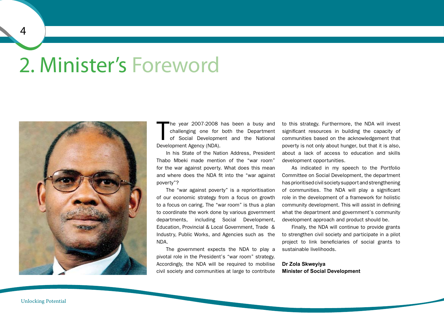# 2. Minister's Foreword



T he year 2007-2008 has been a busy and challenging one for both the Department of Social Development and the National Development Agency (NDA).

In his State of the Nation Address, President Thabo Mbeki made mention of the "war room" for the war against poverty. What does this mean and where does the NDA fit into the "war against poverty"?

The "war against poverty" is a reprioritisation of our economic strategy from a focus on growth to a focus on caring. The "war room" is thus a plan to coordinate the work done by various government departments, including Social Development, Education, Provincial & Local Government, Trade & Industry, Public Works, and Agencies such as the NDA.

The government expects the NDA to play a pivotal role in the President's "war room" strategy. Accordingly, the NDA will be required to mobilise civil society and communities at large to contribute

to this strategy. Furthermore, the NDA will invest significant resources in building the capacity of communities based on the acknowledgement that poverty is not only about hunger, but that it is also, about a lack of access to education and skills development opportunities.

As indicated in my speech to the Portfolio Committee on Social Development, the department has prioritised civil society support and strengthening of communities. The NDA will play a significant role in the development of a framework for holistic community development. This will assist in defining what the department and government's community development approach and product should be.

Finally, the NDA will continue to provide grants to strengthen civil society and participate in a pilot project to link beneficiaries of social grants to sustainable livelihoods.

### **Dr Zola Skweyiya Minister of Social Development**

 $\overline{4}$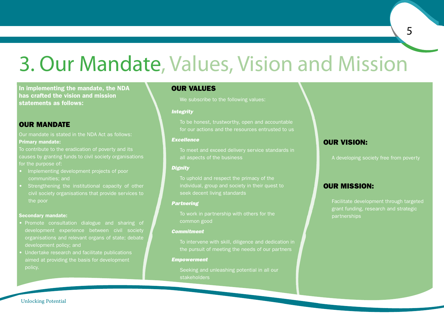# 3. Our Mandate, Values, Vision and Mission

In implementing the mandate, the NDA has crafted the vision and mission statements as follows:

### OUR MANDATE

Our mandate is stated in the NDA Act as follows: Primary mandate:

To contribute to the eradication of poverty and its causes by granting funds to civil society organisations for the purpose of:

- Implementing development projects of poor communities; and
- Strengthening the institutional capacity of other civil society organisations that provide services to the poor

### Secondary mandate:

- Promote consultation dialogue and sharing of development experience between civil society organisations and relevant organs of state; debate development policy; and
- Undertake research and facilitate publications aimed at providing the basis for development

### OUR VALUES

We subscribe to the following values:

### *Integrity*

To be honest, trustworthy, open and accountable for our actions and the resources entrusted to us

### *Excellence*

To meet and exceed delivery service standards in all aspects of the business

### *Dignity*

To uphold and respect the primacy of the individual, group and society in their quest to seek decent living standards

### *Partnering*

To work in partnership with others for the common good

### *Commitment*

To intervene with skill, diligence and dedication in the pursuit of meeting the needs of our partners

### *Empowerment*

Seeking and unleashing potential in all our **stakeholders** 

### OUR VISION:

A developing society free from poverty

5

### OUR MISSION:

Facilitate development through targeted grant funding, research and strategic partnerships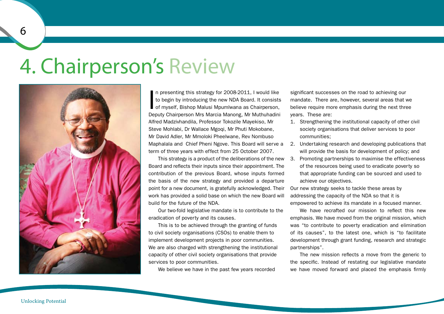# 4. Chairperson's Review



In presenting this strategy for 2008-2011, I would like<br>to begin by introducing the new NDA Board. It consists<br>of myself, Bishop Malusi Mpumlwana as Chairperson, n presenting this strategy for 2008-2011, I would like to begin by introducing the new NDA Board. It consists Deputy Chairperson Mrs Marcia Manong, Mr Muthuhadini Alfred Madzivhandila, Professor Tokozile Mayekiso, Mr Steve Mohlabi, Dr Wallace Mgoqi, Mr Phuti Mokobane, Mr David Adler, Mr Mmoloki Pheelwane, Rev Nombuso Maphalala and Chief Pheni Ngove. This Board will serve a term of three years with effect from 25 October 2007.

This strategy is a product of the deliberations of the new Board and reflects their inputs since their appointment. The contribution of the previous Board, whose inputs formed the basis of the new strategy and provided a departure point for a new document, is gratefully acknowledged. Their work has provided a solid base on which the new Board will build for the future of the NDA.

Our two-fold legislative mandate is to contribute to the eradication of poverty and its causes.

This is to be achieved through the granting of funds to civil society organisations (CSOs) to enable them to implement development projects in poor communities. We are also charged with strengthening the institutional capacity of other civil society organisations that provide services to poor communities.

We believe we have in the past few years recorded

significant successes on the road to achieving our mandate. There are, however, several areas that we believe require more emphasis during the next three years. These are:

- 1. Strengthening the institutional capacity of other civil society organisations that deliver services to poor communities;
- 2. Undertaking research and developing publications that will provide the basis for development of policy; and
- 3. Promoting partnerships to maximise the effectiveness of the resources being used to eradicate poverty so that appropriate funding can be sourced and used to achieve our objectives.

Our new strategy seeks to tackle these areas by addressing the capacity of the NDA so that it is empowered to achieve its mandate in a focused manner.

We have recrafted our mission to reflect this new emphasis. We have moved from the original mission, which was "to contribute to poverty eradication and elimination of its causes", to the latest one, which is "to facilitate development through grant funding, research and strategic partnerships".

The new mission reflects a move from the generic to the specific. Instead of restating our legislative mandate we have moved forward and placed the emphasis firmly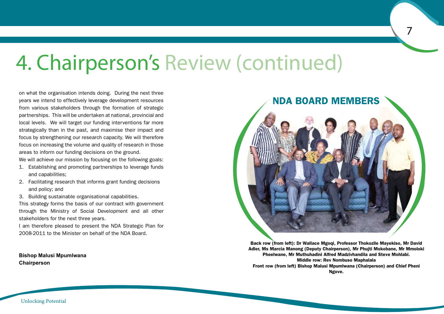# 4. Chairperson's Review (continued)

on what the organisation intends doing. During the next three years we intend to effectively leverage development resources from various stakeholders through the formation of strategic partnerships. This will be undertaken at national, provincial and local levels. We will target our funding interventions far more strategically than in the past, and maximise their impact and focus by strengthening our research capacity. We will therefore focus on increasing the volume and quality of research in those areas to inform our funding decisions on the ground.

We will achieve our mission by focusing on the following goals:

- 1. Establishing and promoting partnerships to leverage funds and capabilities;
- 2. Facilitating research that informs grant funding decisions and policy; and
- 3. Building sustainable organisational capabilities.

This strategy forms the basis of our contract with government through the Ministry of Social Development and all other stakeholders for the next three years.

I am therefore pleased to present the NDA Strategic Plan for 2008-2011 to the Minister on behalf of the NDA Board.

**Bishop Malusi Mpumlwana Chairperson**



 $\overline{7}$ 

Back row (from left): Dr Wallace Mgoqi, Professor Thokozile Mayekiso, Mr David Adler, Ms Marcia Manong (Deputy Chairperson), Mr Phujti Mokobane, Mr Mmoloki Pheelwane, Mr Muthuhadini Alfred Madzivhandila and Steve Mohlabi. Middle row: Rev Nombuso Maphalala Front row (from left) Bishop Malusi Mpumlwana (Chairperson) and Chief Pheni Ngove.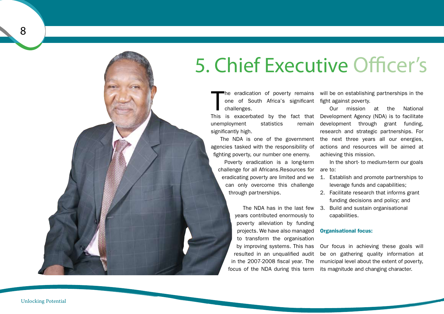# 5. Chief Executive Officer's

 $\prod$ he eradication of poverty remains one of South Africa's significant fight against poverty. challenges.

unemployment statistics remain significantly high.

The NDA is one of the government agencies tasked with the responsibility of fighting poverty, our number one enemy.

Poverty eradication is a long-term challenge for all Africans.Resources for are to: eradicating poverty are limited and we can only overcome this challenge through partnerships.

years contributed enormously to poverty alleviation by funding projects. We have also managed to transform the organisation by improving systems. This has resulted in an unqualified audit in the 2007-2008 fiscal year. The focus of the NDA during this term

will be on establishing partnerships in the

This is exacerbated by the fact that Development Agency (NDA) is to facilitate Our mission at the National development through grant funding, research and strategic partnerships. For the next three years all our energies, actions and resources will be aimed at achieving this mission.

In the short- to medium-term our goals

- 1. Establish and promote partnerships to leverage funds and capabilities;
- 2. Facilitate research that informs grant funding decisions and policy; and
- The NDA has in the last few 3. Build and sustain organisational capabilities.

### Organisational focus:

Our focus in achieving these goals will be on gathering quality information at municipal level about the extent of poverty, its magnitude and changing character.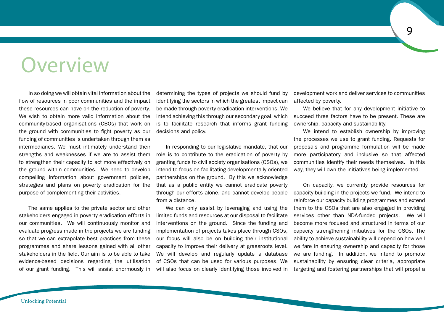# Overview

In so doing we will obtain vital information about the flow of resources in poor communities and the impact these resources can have on the reduction of poverty. We wish to obtain more valid information about the community-based organisations (CBOs) that work on the ground with communities to fight poverty as our funding of communities is undertaken through them as intermediaries. We must intimately understand their strengths and weaknesses if we are to assist them to strengthen their capacity to act more effectively on the ground within communities. We need to develop compelling information about government policies, strategies and plans on poverty eradication for the purpose of complementing their activities.

The same applies to the private sector and other stakeholders engaged in poverty eradication efforts in our communities. We will continuously monitor and evaluate progress made in the projects we are funding so that we can extrapolate best practices from these programmes and share lessons gained with all other stakeholders in the field. Our aim is to be able to take evidence-based decisions regarding the utilisation of our grant funding. This will assist enormously in

determining the types of projects we should fund by identifying the sectors in which the greatest impact can be made through poverty eradication interventions. We intend achieving this through our secondary goal, which is to facilitate research that informs grant funding decisions and policy.

In responding to our legislative mandate, that our role is to contribute to the eradication of poverty by granting funds to civil society organisations (CSOs), we intend to focus on facilitating developmentally oriented partnerships on the ground. By this we acknowledge that as a public entity we cannot eradicate poverty through our efforts alone, and cannot develop people from a distance.

We can only assist by leveraging and using the limited funds and resources at our disposal to facilitate interventions on the ground. Since the funding and implementation of projects takes place through CSOs, our focus will also be on building their institutional capacity to improve their delivery at grassroots level. We will develop and regularly update a database of CSOs that can be used for various purposes. We will also focus on clearly identifying those involved in

development work and deliver services to communities affected by poverty.

We believe that for any development initiative to succeed three factors have to be present. These are ownership, capacity and sustainability.

We intend to establish ownership by improving the processes we use to grant funding. Requests for proposals and programme formulation will be made more participatory and inclusive so that affected communities identify their needs themselves. In this way, they will own the initiatives being implemented.

On capacity, we currently provide resources for capacity building in the projects we fund. We intend to reinforce our capacity building programmes and extend them to the CSOs that are also engaged in providing services other than NDA-funded projects. We will become more focused and structured in terms of our capacity strengthening initiatives for the CSOs. The ability to achieve sustainability will depend on how well we fare in ensuring ownership and capacity for those we are funding. In addition, we intend to promote sustainability by ensuring clear criteria, appropriate targeting and fostering partnerships that will propel a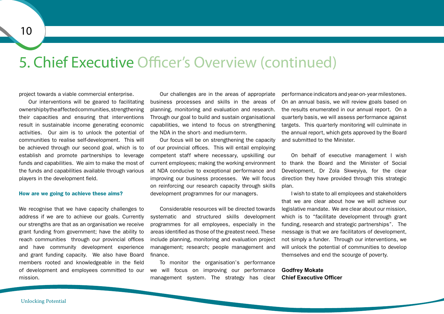### 5. Chief Executive Officer's Overview (continued)

project towards a viable commercial enterprise.

Our interventions will be geared to facilitating ownershipbytheaffectedcommunities,strengthening their capacities and ensuring that interventions result in sustainable income generating economic activities. Our aim is to unlock the potential of communities to realise self-development. This will be achieved through our second goal, which is to establish and promote partnerships to leverage funds and capabilities. We aim to make the most of the funds and capabilities available through various players in the development field.

### How are we going to achieve these aims?

We recognise that we have capacity challenges to address if we are to achieve our goals. Currently our strengths are that as an organisation we receive grant funding from government; have the ability to reach communities through our provincial offices and have community development experience and grant funding capacity. We also have Board members rooted and knowledgeable in the field of development and employees committed to our mission.

Our challenges are in the areas of appropriate business processes and skills in the areas of planning, monitoring and evaluation and research. Through our goal to build and sustain organisational capabilities, we intend to focus on strengthening the NDA in the short- and medium-term.

Our focus will be on strengthening the capacity of our provincial offices. This will entail employing competent staff where necessary, upskilling our current employees; making the working environment at NDA conducive to exceptional performance and improving our business processes. We will focus on reinforcing our research capacity through skills development programmes for our managers.

Considerable resources will be directed towards systematic and structured skills development programmes for all employees, especially in the areas identified as those of the greatest need. These include planning, monitoring and evaluation project management; research; people management and finance.

To monitor the organisation's performance we will focus on improving our performance management system. The strategy has clear

performance indicators and year-on- year milestones. On an annual basis, we will review goals based on the results enumerated in our annual report. On a quarterly basis, we will assess performance against targets. This quarterly monitoring will culminate in the annual report, which gets approved by the Board and submitted to the Minister.

On behalf of executive management I wish to thank the Board and the Minister of Social Development, Dr Zola Skweyiya, for the clear direction they have provided through this strategic plan.

I wish to state to all employees and stakeholders that we are clear about how we will achieve our legislative mandate. We are clear about our mission, which is to "facilitate development through grant funding, research and strategic partnerships". The message is that we are facilitators of development, not simply a funder. Through our interventions, we will unlock the potential of communities to develop themselves and end the scourge of poverty.

### **Godfrey Mokate Chief Executive Officer**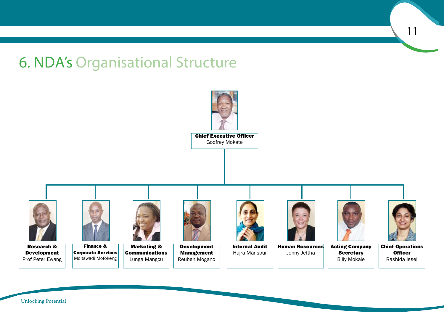6. NDA's Organisational Structure

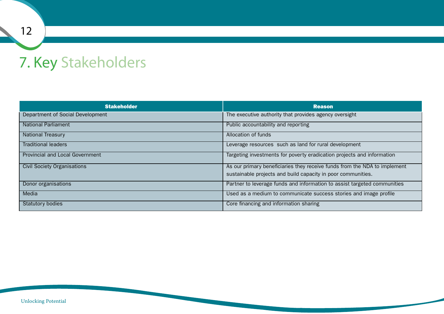### 7. Key Stakeholders

| <b>Stakeholder</b>                     | <b>Reason</b>                                                             |
|----------------------------------------|---------------------------------------------------------------------------|
| Department of Social Development       | The executive authority that provides agency oversight                    |
| <b>National Parliament</b>             | Public accountability and reporting                                       |
| <b>National Treasury</b>               | Allocation of funds                                                       |
| <b>Traditional leaders</b>             | Leverage resources such as land for rural development                     |
| <b>Provincial and Local Government</b> | Targeting investments for poverty eradication projects and information    |
| <b>Civil Society Organisations</b>     | As our primary beneficiaries they receive funds from the NDA to implement |
|                                        | sustainable projects and build capacity in poor communities.              |
| Donor organisations                    | Partner to leverage funds and information to assist targeted communities  |
| Media                                  | Used as a medium to communicate success stories and image profile         |
| <b>Statutory bodies</b>                | Core financing and information sharing                                    |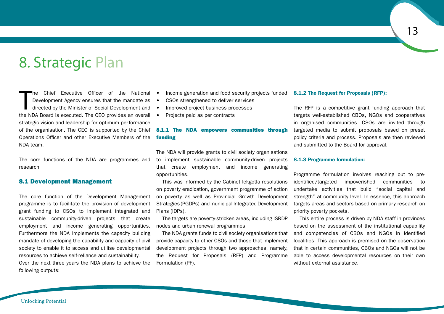### 8. Strategic Plan

 $\prod_{\text{the}}$ he Chief Executive Officer of the National Development Agency ensures that the mandate as directed by the Minister of Social Development and the NDA Board is executed. The CEO provides an overall strategic vision and leadership for optimum performance of the organisation. The CEO is supported by the Chief Operations Officer and other Executive Members of the NDA team.

The core functions of the NDA are programmes and research.

### 8.1 Development Management

The core function of the Development Management programme is to facilitate the provision of development grant funding to CSOs to implement integrated and sustainable community-driven projects that create employment and income generating opportunities. Furthermore the NDA implements the capacity building mandate of developing the capability and capacity of civil society to enable it to access and utilise developmental resources to achieve self-reliance and sustainability. Over the next three years the NDA plans to achieve the following outputs:

- Income generation and food security projects funded 8.1.2 The Request for Proposals (RFP):
- CSOs strengthened to deliver services
- Improved project business processes
- Projects paid as per contracts

### 8.1.1 The NDA empowers communities through funding

The NDA will provide grants to civil society organisations to implement sustainable community-driven projects that create employment and income generating opportunities.

This was informed by the Cabinet lekgotla resolutions on poverty eradication, government programme of action on poverty as well as Provincial Growth Development Strategies (PGDPs) and municipal Integrated Development Plans (IDPs).

The targets are poverty-stricken areas, including ISRDP nodes and urban renewal programmes.

The NDA grants funds to civil society organisations that provide capacity to other CSOs and those that implement development projects through two approaches, namely, the Request for Proposals (RFP) and Programme Formulation (PF).

The RFP is a competitive grant funding approach that targets well-established CBOs, NGOs and cooperatives in organised communities. CSOs are invited through targeted media to submit proposals based on preset policy criteria and process. Proposals are then reviewed and submitted to the Board for approval.

#### 8.1.3 Programme formulation:

Programme formulation involves reaching out to preidentified/targeted impoverished communities to undertake activities that build "social capital and strength" at community level. In essence, this approach targets areas and sectors based on primary research on priority poverty pockets.

This entire process is driven by NDA staff in provinces based on the assessment of the institutional capability and competencies of CBOs and NGOs in identified localities. This approach is premised on the observation that in certain communities, CBOs and NGOs will not be able to access developmental resources on their own without external assistance.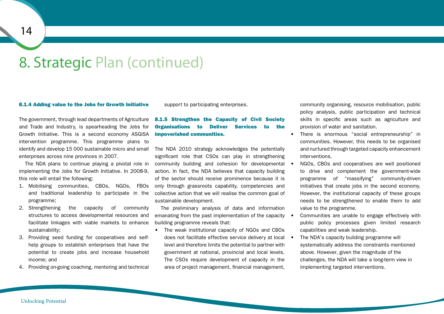### 8. Strategic Plan (continued)

#### 8.1.4 Adding value to the Jobs for Growth Initiative

The government, through lead departments of Agriculture and Trade and Industry, is spearheading the Jobs for Growth Initiative. This is a second economy ASGISA intervention programme. This programme plans to identify and develop 15 000 sustainable micro and small enterprises across nine provinces in 2007.

The NDA plans to continue playing a pivotal role in implementing the Jobs for Growth Initiative. In 2008-9, this role will entail the following:

- 1. Mobilising communities, CBOs, NGOs, FBOs and traditional leadership to participate in the programme;
- 2. Strengthening the capacity of community structures to access developmental resources and facilitate linkages with viable markets to enhance sustainability;
- 3. Providing seed funding for cooperatives and selfhelp groups to establish enterprises that have the potential to create jobs and increase household income; and
- 4. Providing on-going coaching, mentoring and technical

support to participating enterprises.

### 8.1.5 Strengthen the Capacity of Civil Society Organisations to Deliver Services to the impoverished communities.

The NDA 2010 strategy acknowledges the potentially significant role that CSOs can play in strengthening community building and cohesion for developmental action. In fact, the NDA believes that capacity building of the sector should receive prominence because it is only through grassroots capability, competencies and collective action that we will realise the common goal of sustainable development.

The preliminary analysis of data and information emanating from the past implementation of the capacity building programme reveals that:

• The weak institutional capacity of NGOs and CBOs does not facilitate effective service delivery at local . level and therefore limits the potential to partner with government at national, provincial and local levels. The CSOs require development of capacity in the area of project management, financial management,

community organising, resource mobilisation, public policy analysis, public participation and technical skills in specific areas such as agriculture and provision of water and sanitation.

- • There is enormous "social entrepreneurship" in communities. However, this needs to be organised and nurtured through targeted capacity enhancement interventions.
- NGOs, CBOs and cooperatives are well positioned to drive and complement the government-wide programme of "massifying" community-driven initiatives that create jobs in the second economy. However, the institutional capacity of these groups needs to be strengthened to enable them to add value to the programme.
- Communities are unable to engage effectively with public policy processes given limited research capabilities and weak leadership.
- The NDA's capacity building programme will systematically address the constraints mentioned above. However, given the magnitude of the challenges, the NDA will take a long-term view in implementing targeted interventions.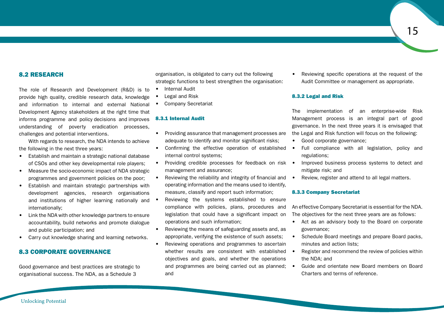### 8.2 RESEARCH

The role of Research and Development (R&D) is to provide high quality, credible research data, knowledge and information to internal and external National Development Agency stakeholders at the right time that informs programme and policy decisions and improves understanding of poverty eradication processes, challenges and potential interventions.

With regards to research, the NDA intends to achieve the following in the next three years:

- Establish and maintain a strategic national database of CSOs and other key developmental role players;
- Measure the socio-economic impact of NDA strategic programmes and government policies on the poor;
- • Establish and maintain strategic partnerships with development agencies, research organisations and institutions of higher learning nationally and internationally;
- Link the NDA with other knowledge partners to ensure accountability, build networks and promote dialogue and public participation; and
- Carry out knowledge sharing and learning networks.

### 8.3 CORPORATE GOVERNANCE

Good governance and best practices are strategic to organisational success. The NDA, as a Schedule 3

organisation, is obligated to carry out the following strategic functions to best strengthen the organisation:

- **Internal Audit**
- Legal and Risk
- Company Secretariat

### 8.3.1 Internal Audit

- Providing assurance that management processes are adequate to identify and monitor significant risks;
- Confirming the effective operation of established internal control systems;
- Providing credible processes for feedback on risk management and assurance;
- Reviewing the reliability and integrity of financial and operating information and the means used to identify, measure, classify and report such information;
- Reviewing the systems established to ensure compliance with policies, plans, procedures and legislation that could have a significant impact on operations and such information;
- • Reviewing the means of safeguarding assets and, as appropriate, verifying the existence of such assets;
- Reviewing operations and programmes to ascertain whether results are consistent with established • objectives and goals, and whether the operations and programmes are being carried out as planned; and

Reviewing specific operations at the request of the Audit Committee or management as appropriate.

### 8.3.2 Legal and Risk

The implementation of an enterprise-wide Risk Management process is an integral part of good governance. In the next three years it is envisaged that the Legal and Risk function will focus on the following:

- Good corporate governance;
- Full compliance with all legislation, policy and regulations;
- Improved business process systems to detect and mitigate risk; and
- Review, register and attend to all legal matters.

### 8.3.3 Company Secretariat

An effective Company Secretariat is essential for the NDA. The objectives for the next three years are as follows:

- Act as an advisory body to the Board on corporate governance;
- Schedule Board meetings and prepare Board packs, minutes and action lists;
- Register and recommend the review of policies within the NDA; and
- Guide and orientate new Board members on Board Charters and terms of reference.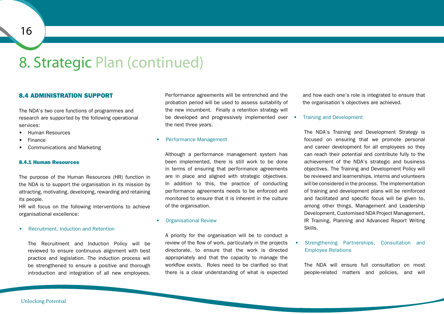### 8. Strategic Plan (continued)

### 8.4 ADMINISTRATION SUPPORT

The NDA's two core functions of programmes and research are supported by the following operational services:

- **Human Resources**
- **Finance**
- Communications and Marketing

#### 8.4.1 Human Resources

The purpose of the Human Resources (HR) function in the NDA is to support the organisation in its mission by attracting, motivating, developing, rewarding and retaining its people.

HR will focus on the following interventions to achieve organisational excellence:

• Recruitment, Induction and Retention

The Recruitment and Induction Policy will be reviewed to ensure continuous alignment with best practice and legislation. The induction process will be strengthened to ensure a positive and thorough introduction and integration of all new employees.

Performance agreements will be entrenched and the probation period will be used to assess suitability of the new incumbent. Finally a retention strategy will be developed and progressively implemented over • the next three years.

#### Performance Management

Although a performance management system has been implemented, there is still work to be done in terms of ensuring that performance agreements are in place and aligned with strategic objectives. In addition to this, the practice of conducting performance agreements needs to be enforced and monitored to ensure that it is inherent in the culture of the organisation.

### **Organisational Review**

A priority for the organisation will be to conduct a review of the flow of work, particularly in the projects directorate, to ensure that the work is directed appropriately and that the capacity to manage the workflow exists. Roles need to be clarified so that there is a clear understanding of what is expected and how each one's role is integrated to ensure that the organisation's objectives are achieved.

#### **Training and Development**

The NDA's Training and Development Strategy is focused on ensuring that we promote personal and career development for all employees so they can reach their potential and contribute fully to the achievement of the NDA's strategic and business objectives. The Training and Development Policy will be reviewed and learnerships, interns and volunteers will be considered in the process. The implementation of training and development plans will be reinforced and facilitated and specific focus will be given to, among other things, Management and Leadership Development, Customised NDA Project Management, IR Training, Planning and Advanced Report Writing Skills.

Strengthening Partnerships, Consultation and Employee Relations

The NDA will ensure full consultation on most people-related matters and policies, and will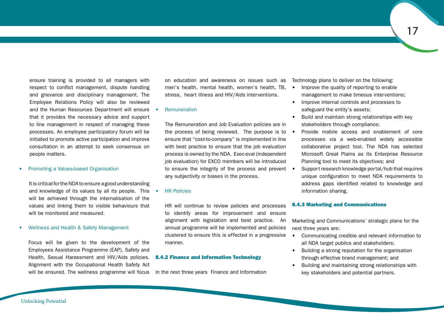ensure training is provided to all managers with respect to conflict management, dispute handling and grievance and disciplinary management. The Employee Relations Policy will also be reviewed and the Human Resources Department will ensure that it provides the necessary advice and support to line management in respect of managing these processes. An employee participatory forum will be initiated to promote active participation and improve consultation in an attempt to seek consensus on people matters.

### **Promoting a Values-based Organisation**

It is critical for the NDA to ensure a good understanding and knowledge of its values by all its people. This • will be achieved through the internalisation of the values and linking them to visible behaviours that will be monitored and measured.

#### Wellness and Health & Safety Management

Focus will be given to the development of the Employees Assistance Programme (EAP), Safety and Health, Sexual Harassment and HIV/Aids policies. Alignment with the Occupational Health Safety Act will be ensured. The wellness programme will focus In the next three years Finance and Information

on education and awareness on issues such as Technology plans to deliver on the following: men's health, mental health, women's health, TB.  $\bullet$ stress, heart illness and HIV/Aids interventions.

### **Remuneration**

The Remuneration and Job Evaluation policies are in the process of being reviewed. The purpose is to  $\bullet$ ensure that "cost-to-company" is implemented in line with best practice to ensure that the job evaluation process is owned by the NDA. Exec-eval (independent job evaluation) for EXCO members will be introduced to ensure the integrity of the process and prevent  $\bullet$ any subjectivity or biases in the process.

### **HR Policies**

HR will continue to review policies and processes to identify areas for improvement and ensure alignment with legislation and best practice. An annual programme will be implemented and policies clustered to ensure this is effected in a progressive manner.

### 8.4.2 Finance and Information Technology

- Improve the quality of reporting to enable management to make timeous interventions;
- Improve internal controls and processes to safeguard the entity's assets;
- Build and maintain strong relationships with key stakeholders through compliance;
- Provide mobile access and enablement of core processes via a web-enabled widely accessible collaborative project tool. The NDA has selected Microsoft Great Plains as its Enterprise Resource Planning tool to meet its objectives; and
- Support research knowledge portal/hub that requires unique configuration to meet NDA requirements to address gaps identified related to knowledge and information sharing.

### 8.4.3 Marketing and Communications

Marketing and Communications' strategic plans for the next three years are:

- Communicating credible and relevant information to all NDA target publics and stakeholders;
- Building a strong reputation for the organisation through effective brand management; and
- • Building and maintaining strong relationships with key stakeholders and potential partners.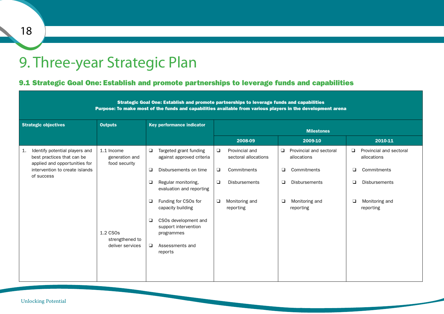### 9. Three-year Strategic Plan

### 9.1 Strategic Goal One: Establish and promote partnerships to leverage funds and capabilities

| Strategic Goal One: Establish and promote partnerships to leverage funds and capabilities<br>Purpose: To make most of the funds and capabilities available from various players in the development arena |                                                                                                                                                                                                                                                                                                                                      |                                                                                                                                                 |                                                                                                                                                 |                                                                                                                                  |  |  |  |  |  |  |  |  |  |
|----------------------------------------------------------------------------------------------------------------------------------------------------------------------------------------------------------|--------------------------------------------------------------------------------------------------------------------------------------------------------------------------------------------------------------------------------------------------------------------------------------------------------------------------------------|-------------------------------------------------------------------------------------------------------------------------------------------------|-------------------------------------------------------------------------------------------------------------------------------------------------|----------------------------------------------------------------------------------------------------------------------------------|--|--|--|--|--|--|--|--|--|
| <b>Outputs</b>                                                                                                                                                                                           | Key performance indicator                                                                                                                                                                                                                                                                                                            | <b>Milestones</b>                                                                                                                               |                                                                                                                                                 |                                                                                                                                  |  |  |  |  |  |  |  |  |  |
|                                                                                                                                                                                                          |                                                                                                                                                                                                                                                                                                                                      | 2008-09                                                                                                                                         | 2009-10                                                                                                                                         | 2010-11                                                                                                                          |  |  |  |  |  |  |  |  |  |
| 1.1 Income<br>generation and<br>food security<br>1.2 CSO <sub>s</sub><br>strengthened to<br>deliver services                                                                                             | $\Box$<br>Targeted grant funding<br>against approved criteria<br>$\Box$<br>Disbursements on time<br>$\Box$<br>Regular monitoring,<br>evaluation and reporting<br>Funding for CSOs for<br>$\Box$<br>capacity building<br>CSOs development and<br>$\Box$<br>support intervention<br>programmes<br>$\Box$<br>Assessments and<br>reports | Provincial and<br>$\Box$<br>sectoral allocations<br>$\Box$<br>Commitments<br>$\Box$<br><b>Disbursements</b><br>Monitoring and<br>□<br>reporting | Provincial and sectoral<br>❏<br>allocations<br>$\Box$<br>Commitments<br>$\Box$<br><b>Disbursements</b><br>Monitoring and<br>$\Box$<br>reporting | Provincial and sectoral<br>❏<br>allocations<br>❏<br>Commitments<br>◘<br><b>Disbursements</b><br>□<br>Monitoring and<br>reporting |  |  |  |  |  |  |  |  |  |
|                                                                                                                                                                                                          |                                                                                                                                                                                                                                                                                                                                      |                                                                                                                                                 |                                                                                                                                                 |                                                                                                                                  |  |  |  |  |  |  |  |  |  |

18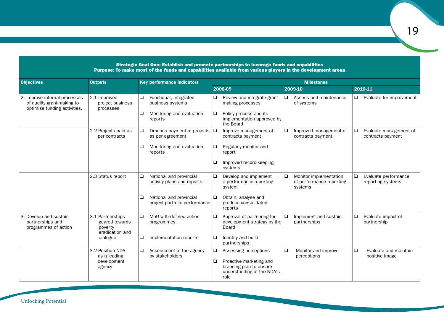|                                                                                             |                                                                  | Strategic Goal One: Establish and promote partnerships to leverage funds and capabilities<br>Purpose: To make most of the funds and capabilities available from various players in the development arena |                                                                                                    |                                                                    |                                                     |  |  |  |  |  |  |
|---------------------------------------------------------------------------------------------|------------------------------------------------------------------|----------------------------------------------------------------------------------------------------------------------------------------------------------------------------------------------------------|----------------------------------------------------------------------------------------------------|--------------------------------------------------------------------|-----------------------------------------------------|--|--|--|--|--|--|
| <b>Objectives</b>                                                                           | <b>Outputs</b>                                                   | Key performance indicators                                                                                                                                                                               | <b>Milestones</b>                                                                                  |                                                                    |                                                     |  |  |  |  |  |  |
|                                                                                             |                                                                  |                                                                                                                                                                                                          | 2008-09                                                                                            | 2009-10                                                            | 2010-11                                             |  |  |  |  |  |  |
| 2. Improve internal processes<br>of quality grant-making to<br>optimise funding activities. | 2.1 Improved<br>project business<br>processes                    | Functional, integrated<br>$\Box$<br>business systems                                                                                                                                                     | $\Box$<br>Review and integrate grant<br>making processes                                           | Assess and maintenance<br>❏<br>of systems                          | Evaluate for improvement<br>❏                       |  |  |  |  |  |  |
|                                                                                             |                                                                  | ❏<br>Monitoring and evaluation<br>reports                                                                                                                                                                | $\Box$<br>Policy process and its<br>implementation approved by<br>the Board                        |                                                                    |                                                     |  |  |  |  |  |  |
|                                                                                             | 2.2 Projects paid as<br>per contracts                            | Timeous payment of projects $\Box$<br>❏<br>as per agreement                                                                                                                                              | Improve management of<br>contracts payment                                                         | ❏<br>Improved management of<br>contracts payment                   | ❏<br>Evaluate management of<br>contracts payment    |  |  |  |  |  |  |
|                                                                                             |                                                                  | ❏<br>Monitoring and evaluation<br>reports                                                                                                                                                                | $\Box$<br>Regularly monitor and<br>report                                                          |                                                                    |                                                     |  |  |  |  |  |  |
|                                                                                             |                                                                  |                                                                                                                                                                                                          | Improved record-keeping<br>❏<br>systems                                                            |                                                                    |                                                     |  |  |  |  |  |  |
|                                                                                             | 2.3 Status report                                                | National and provincial<br>$\Box$<br>activity plans and reports                                                                                                                                          | Develop and implement<br>$\Box$<br>a performance-reporting<br>system                               | ❏<br>Monitor implementation<br>of performance reporting<br>systems | $\Box$<br>Evaluate performance<br>reporting systems |  |  |  |  |  |  |
|                                                                                             |                                                                  | National and provincial<br>□<br>project portfolio performance                                                                                                                                            | 10<br>Obtain, analyse and<br>produce consolidated<br>reports                                       |                                                                    |                                                     |  |  |  |  |  |  |
| 3. Develop and sustain<br>partnerships and<br>programmes of action                          | 3.1 Partnerships<br>geared towards<br>poverty<br>eradication and | $\Box$<br>MoU with defined action<br>programmes                                                                                                                                                          | Approval of partnering for<br>□<br>development strategy by the<br><b>Board</b>                     | Implement and sustain<br>❏<br>partnerships                         | $\Box$<br>Evaluate impact of<br>partnership         |  |  |  |  |  |  |
|                                                                                             | dialogue                                                         | $\Box$<br>Implementation reports                                                                                                                                                                         | Identify and build<br>□<br>partnerships                                                            |                                                                    |                                                     |  |  |  |  |  |  |
|                                                                                             | 3.2 Position NDA<br>as a leading                                 | O.<br>Assessment of the agency<br>by stakeholders                                                                                                                                                        | $\Box$<br>Assessing perceptions                                                                    | $\Box$<br>Monitor and improve                                      | $\Box$<br>Evaluate and maintain                     |  |  |  |  |  |  |
|                                                                                             | development<br>agency                                            |                                                                                                                                                                                                          | $\Box$<br>Proactive marketing and<br>branding plan to ensure<br>understanding of the NDA's<br>role | perceptions                                                        | positive image                                      |  |  |  |  |  |  |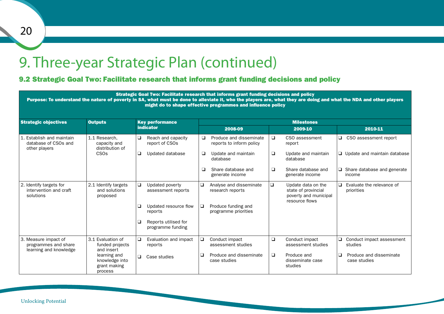### 9. Three-year Strategic Plan (continued)

### 9.2 Strategic Goal Two: Facilitate research that informs grant funding decisions and policy

|                                                                                     |                                                                                                      | Strategic Goal Two: Facilitate research that informs grant funding decisions and policy<br>Purpose: To understand the nature of poverty in SA, what must be done to alleviate it, who the players are, what they are doing and what the NDA and other players |                                         | might do to shape effective programmes and influence policy |                                            |                                                                                      |                                         |                                              |  |  |  |  |  |
|-------------------------------------------------------------------------------------|------------------------------------------------------------------------------------------------------|---------------------------------------------------------------------------------------------------------------------------------------------------------------------------------------------------------------------------------------------------------------|-----------------------------------------|-------------------------------------------------------------|--------------------------------------------|--------------------------------------------------------------------------------------|-----------------------------------------|----------------------------------------------|--|--|--|--|--|
| <b>Strategic objectives</b>                                                         | <b>Outputs</b>                                                                                       | <b>Key performance</b>                                                                                                                                                                                                                                        |                                         | <b>Milestones</b>                                           |                                            |                                                                                      |                                         |                                              |  |  |  |  |  |
|                                                                                     |                                                                                                      | <b>indicator</b>                                                                                                                                                                                                                                              |                                         | 2008-09                                                     |                                            | 2009-10                                                                              |                                         | 2010-11                                      |  |  |  |  |  |
| 1. Establish and maintain<br>database of CSOs and<br>other players                  | 1.1 Research.<br>capacity and<br>distribution of                                                     | $\Box$<br>Reach and capacity<br>report of CSOs                                                                                                                                                                                                                | ❏                                       | Produce and disseminate<br>reports to inform policy         | $\Box$                                     | CSO assessment<br>report                                                             | $\Box$                                  | CSO assessment report                        |  |  |  |  |  |
|                                                                                     | CS <sub>Os</sub>                                                                                     | □<br>Updated database                                                                                                                                                                                                                                         | ❏                                       | Update and maintain<br>database                             | $\Box$                                     | Update and maintain<br>database                                                      |                                         | $\Box$ Update and maintain database          |  |  |  |  |  |
|                                                                                     |                                                                                                      |                                                                                                                                                                                                                                                               | ◻                                       | Share database and<br>generate income                       | $\Box$                                     | Share database and<br>generate income                                                |                                         | $\Box$ Share database and generate<br>income |  |  |  |  |  |
| 2. Identify targets for<br>intervention and craft<br>solutions                      | 2.1 Identify targets<br>$\Box$<br>Updated poverty<br>and solutions<br>assessment reports<br>proposed |                                                                                                                                                                                                                                                               | ▯                                       | Analyse and disseminate<br>research reports                 | $\Box$                                     | Update data on the<br>state of provincial<br>poverty and municipal<br>resource flows | ❏                                       | Evaluate the relevance of<br>priorities      |  |  |  |  |  |
|                                                                                     |                                                                                                      | Updated resource flow<br>❏<br>reports                                                                                                                                                                                                                         | ⊔                                       | Produce funding and<br>programme priorities                 |                                            |                                                                                      |                                         |                                              |  |  |  |  |  |
|                                                                                     |                                                                                                      | Reports utilised for<br>◻<br>programme funding                                                                                                                                                                                                                |                                         |                                                             |                                            |                                                                                      |                                         |                                              |  |  |  |  |  |
| 3. Measure impact of<br>programmes and share<br>learning and knowledge              | 3.1 Evaluation of<br>funded projects<br>and insert                                                   | $\Box$<br>Evaluation and impact<br>reports                                                                                                                                                                                                                    | □                                       | Conduct impact<br>assessment studies                        | $\Box$                                     | Conduct impact<br>assessment studies                                                 | $\Box$                                  | Conduct impact assessment<br>studies         |  |  |  |  |  |
| learning and<br>$\Box$<br>Case studies<br>knowledge into<br>grant making<br>process |                                                                                                      |                                                                                                                                                                                                                                                               | Produce and disseminate<br>case studies | $\Box$                                                      | Produce and<br>disseminate case<br>studies | ❏                                                                                    | Produce and disseminate<br>case studies |                                              |  |  |  |  |  |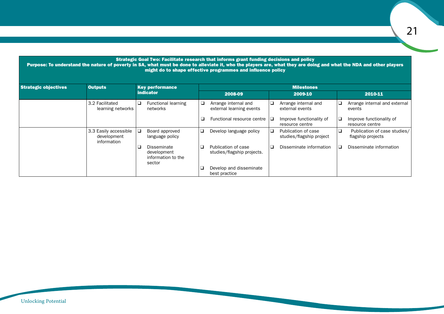|                             |                                                     |                                                                        |   | Strategic Goal Two: Facilitate research that informs grant funding decisions and policy<br>Purpose: To understand the nature of poverty in SA, what must be done to alleviate it, who the players are, what they are doing and what the NDA and other players<br>might do to shape effective programmes and influence policy |   |                                                 |   |                                                   |
|-----------------------------|-----------------------------------------------------|------------------------------------------------------------------------|---|------------------------------------------------------------------------------------------------------------------------------------------------------------------------------------------------------------------------------------------------------------------------------------------------------------------------------|---|-------------------------------------------------|---|---------------------------------------------------|
| <b>Strategic objectives</b> | <b>Outputs</b>                                      | <b>Key performance</b>                                                 |   |                                                                                                                                                                                                                                                                                                                              |   | <b>Milestones</b>                               |   |                                                   |
|                             |                                                     | <b>indicator</b>                                                       |   | 2008-09                                                                                                                                                                                                                                                                                                                      |   | 2009-10                                         |   | 2010-11                                           |
|                             | 3.2 Facilitated<br>learning networks                | <b>Functional learning</b><br>⊔<br>networks                            | ⊔ | Arrange internal and<br>external learning events                                                                                                                                                                                                                                                                             | ❏ | Arrange internal and<br>external events         |   | Arrange internal and external<br>events           |
|                             |                                                     |                                                                        | └ | Functional resource centre $\Box$                                                                                                                                                                                                                                                                                            |   | Improve functionality of<br>resource centre     | ⊔ | Improve functionality of<br>resource centre       |
|                             | 3.3 Easily accessible<br>development<br>information | Board approved<br>language policy                                      | ❏ | Develop language policy                                                                                                                                                                                                                                                                                                      | □ | Publication of case<br>studies/flagship project | ❏ | Publication of case studies/<br>flagship projects |
|                             |                                                     | <b>Disseminate</b><br>❏<br>development<br>information to the<br>sector | ❏ | Publication of case<br>studies/flagship projects.                                                                                                                                                                                                                                                                            |   | Disseminate information                         |   | Disseminate information                           |
|                             |                                                     |                                                                        |   | Develop and disseminate<br>best practice                                                                                                                                                                                                                                                                                     |   |                                                 |   |                                                   |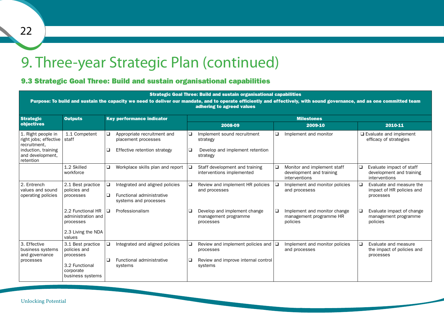### 9. Three-year Strategic Plan (continued)

### 9.3 Strategic Goal Three: Build and sustain organisational capabilities

|                                                                                                                             |                                                                                                   | Purpose: To build and sustain the capacity we need to deliver our mandate, and to operate efficiently and effectively, with sound governance, and as one committed team |                   | Strategic Goal Three: Build and sustain organisational capabilities<br>adhering to agreed values        |   |                                                                          |         |                                                                       |  |  |  |  |  |
|-----------------------------------------------------------------------------------------------------------------------------|---------------------------------------------------------------------------------------------------|-------------------------------------------------------------------------------------------------------------------------------------------------------------------------|-------------------|---------------------------------------------------------------------------------------------------------|---|--------------------------------------------------------------------------|---------|-----------------------------------------------------------------------|--|--|--|--|--|
| <b>Strategic</b>                                                                                                            | <b>Outputs</b>                                                                                    | <b>Key performance indicator</b>                                                                                                                                        | <b>Milestones</b> |                                                                                                         |   |                                                                          |         |                                                                       |  |  |  |  |  |
| objectives                                                                                                                  |                                                                                                   |                                                                                                                                                                         |                   | 2008-09                                                                                                 |   | 2009-10                                                                  | 2010-11 |                                                                       |  |  |  |  |  |
| 1. Right people in<br>right jobs; effective   staff<br>recruitment.<br>induction, training<br>and development.<br>retention | 1.1 Competent                                                                                     | $\Box$<br>Appropriate recruitment and<br>placement processes<br>❏<br>Effective retention strategy                                                                       |                   | Implement sound recruitment<br>strategy<br>Develop and implement retention<br>strategy                  | ❏ | Implement and monitor                                                    |         | $\Box$ Evaluate and implement<br>efficacy of strategies               |  |  |  |  |  |
|                                                                                                                             | 1.2 Skilled<br>workforce                                                                          | o.<br>Workplace skills plan and report                                                                                                                                  | ❏                 | Staff development and training<br>interventions implemented                                             | ❏ | Monitor and implement staff<br>development and training<br>interventions |         | Evaluate impact of staff<br>development and training<br>interventions |  |  |  |  |  |
| 2. Entrench<br>values and sound<br>operating policies                                                                       | 2.1 Best practice<br>policies and<br>processes                                                    | $\Box$<br>Integrated and aligned policies<br>$\Box$<br>Functional administrative<br>systems and processes                                                               | $\Box$            | Review and implement HR policies<br>and processes                                                       | ❏ | Implement and monitor policies<br>and procesess                          | ם ו     | Evaluate and measure the<br>impact of HR policies and<br>processes    |  |  |  |  |  |
|                                                                                                                             | 2.2 Functional HR<br>administration and<br>processes<br>2.3 Living the NDA<br>values              | $\Box$<br>Professionalism                                                                                                                                               | ❏                 | Develop and implement change<br>management programme<br>processes                                       | ❏ | Implement and monitor change<br>management programme HR<br>policies      |         | Evaluate impact of change<br>management programme<br>policies         |  |  |  |  |  |
| 3. Effective<br>business systems<br>and governance<br>processes                                                             | 3.1 Best practice<br>policies and<br>processes<br>3.2 Functional<br>corporate<br>business systems | □<br>Integrated and aligned policies<br>$\Box$<br>Functional administrative<br>systems                                                                                  | ❏<br>❏            | Review and implement policies and $\Box$<br>processes<br>Review and improve internal control<br>systems |   | Implement and monitor policies<br>and processes                          |         | Evaluate and measure<br>the impact of policies and<br>processes       |  |  |  |  |  |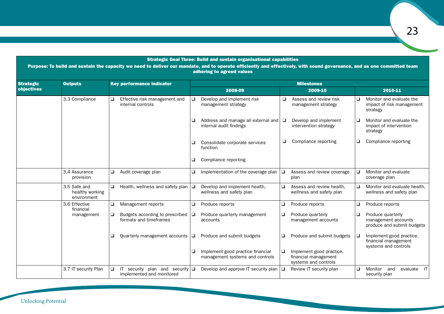### Strategic Goal Three: Build and sustain organisational capabilities

Purpose: To build and sustain the capacity we need to deliver our mandate, and to operate efficiently and effectively, with sound governance, and as one committed team adhering to agreed values

| <b>Strategic</b>  | <b>Outputs</b>                                 |   | <b>Key performance indicator</b>                                     |        | <b>Milestones</b>                                                     |        |                                                                          |   |                                                                          |  |  |  |  |
|-------------------|------------------------------------------------|---|----------------------------------------------------------------------|--------|-----------------------------------------------------------------------|--------|--------------------------------------------------------------------------|---|--------------------------------------------------------------------------|--|--|--|--|
| <b>objectives</b> |                                                |   |                                                                      |        | 2008-09                                                               |        | 2009-10                                                                  |   | 2010-11                                                                  |  |  |  |  |
|                   | 3.3 Compliance                                 |   | Effective risk management and<br>internal controls                   | ❏      | Develop and implement risk<br>management strategy                     | ❏      | Assess and review risk<br>management strategy                            |   | Monitor and evaluate the<br>impact of risk management<br>strategy        |  |  |  |  |
|                   |                                                |   |                                                                      | ❏      | Address and manage all external and $\Box$<br>internal audit findings |        | Develop and implement<br>intervention strategy                           |   | Monitor and evaluate the<br>impact of intervention<br>strategy           |  |  |  |  |
|                   |                                                |   |                                                                      | ❏      | Consolidate corporate services<br>function                            | Q      | Compliance reporting                                                     | ❏ | Compliance reporting                                                     |  |  |  |  |
|                   | 3.4 Assurance                                  |   |                                                                      | ❏      | Compliance reporting                                                  |        |                                                                          |   |                                                                          |  |  |  |  |
|                   | provision                                      |   | Audit coverage plan<br>❏                                             |        | Implementation of the coverage plan                                   | 10     | Assess and review coverage<br>plan                                       | □ | Monitor and evaluate<br>coverage plan                                    |  |  |  |  |
|                   | 3.5 Safe and<br>healthy working<br>environment | □ | Health, wellness and safety plan                                     | $\Box$ | Develop and implement health,<br>wellness and safety plan             | $\Box$ | Assess and review health,<br>wellness and safety plan                    | □ | Monitor and evaluate health.<br>wellness and safety plan                 |  |  |  |  |
|                   | 3.6 Effective<br>financial                     | ❏ | Management reports                                                   | ❏      | Produce reports                                                       | ❏      | Produce reports                                                          |   | Produce reports                                                          |  |  |  |  |
|                   | management                                     | ❏ | Budgets according to prescribed<br>formats and timeframes            | □      | Produce quarterly management<br>accounts                              | □      | Produce quarterly<br>management accounts                                 | ❏ | Produce quarterly<br>management accounts<br>produce and submit budgets   |  |  |  |  |
|                   |                                                |   | Quarterly management accounts                                        | 10     | Produce and submit budgets                                            | □      | Produce and submit budgets                                               | □ | Implement good practice,<br>financial management<br>systems and controls |  |  |  |  |
|                   |                                                |   |                                                                      | ❏      | Implement good practice financial<br>management systems and controls  | $\Box$ | Implement good practice,<br>financial management<br>systems and controls |   |                                                                          |  |  |  |  |
|                   | 3.7 IT security Plan                           | ❏ | security plan and security $\Box$<br>IT<br>implemented and monitored |        | Develop and approve IT security plan $\Box$                           |        | Review IT security plan                                                  |   | Monitor<br>evaluate<br>$\mathsf{I}$<br>and<br>security plan              |  |  |  |  |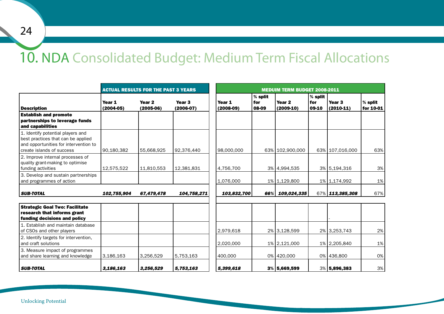### 10. NDA Consolidated Budget: Medium Term Fiscal Allocations

|                                                                                                                                               |                         | <b>ACTUAL RESULTS FOR THE PAST 3 YEARS</b> |                                  |                       |                           | <b>MEDUIM TERM BUDGET 2008-2011</b> |                             |                                  |                      |
|-----------------------------------------------------------------------------------------------------------------------------------------------|-------------------------|--------------------------------------------|----------------------------------|-----------------------|---------------------------|-------------------------------------|-----------------------------|----------------------------------|----------------------|
| <b>Description</b>                                                                                                                            | Year 1<br>$(2004 - 05)$ | Year <sub>2</sub><br>$(2005-06)$           | Year <sub>3</sub><br>$(2006-07)$ | Year 1<br>$(2008-09)$ | $%$ split<br>for<br>08-09 | Year <sub>2</sub><br>$(2009-10)$    | $%$ split<br>  for<br>09-10 | Year <sub>3</sub><br>$(2010-11)$ | % split<br>for 10-01 |
| <b>Establish and promote</b><br>partnerships to leverage funds<br>and capabilities                                                            |                         |                                            |                                  |                       |                           |                                     |                             |                                  |                      |
| 1. Identify potential players and<br>best practices that can be applied<br>and opportunities for intervention to<br>create islands of success | 90,180,382              | 55.668.925                                 | 92,376,440                       | 98,000,000            |                           | 63% 102,900,000                     |                             | 63% 107,016,000                  | 63%                  |
| 2. Improve internal processes of<br>quality grant-making to optimise<br>funding activities                                                    | 12.575.522              | 11,810,553                                 | 12,381,831                       | 4,756,700             |                           | 3% 4,994,535                        |                             | 3% 5,194,316                     | 3%                   |
| 3. Develop and sustain partnerships<br>and programmes of action                                                                               |                         |                                            |                                  | 1,076,000             |                           | 1% 1,129,800                        |                             | 1% 1,174,992                     | 1%                   |
| <b>SUB-TOTAL</b>                                                                                                                              | 102,755,904             | 67,479,478                                 | 104,758,271                      | 103,832,700           | 66% l                     | 109,024,335                         |                             | 67% 113,385,308                  | 67%                  |
| <b>Strategic Goal Two: Facilitate</b><br>research that informs grant<br>funding decisions and policy                                          |                         |                                            |                                  |                       |                           |                                     |                             |                                  |                      |
| 1. Establish and maintain database<br>of CSOs and other players                                                                               |                         |                                            |                                  | 2,979,618             |                           | 2% 3.128,599                        |                             | 2% 3, 253, 743                   | 2%                   |
| 2. Identify targets for intervention,<br>and craft solutions                                                                                  |                         |                                            |                                  | 2,020,000             |                           | 1% 2,121,000                        |                             | 1% 2,205,840                     | 1%                   |
| 3. Measure impact of programmes<br>and share learning and knowledge                                                                           | 3,186,163               | 3,256,529                                  | 5,753,163                        | 400,000               |                           | 0% 420,000                          |                             | 0% 436,800                       | 0%                   |
| <b>SUB-TOTAL</b>                                                                                                                              | 3.186.163               | 3,256,529                                  | 5,753,163                        | 5,399,618             |                           | 3% 5,669,599                        |                             | 3% 5,896,383                     | 3%                   |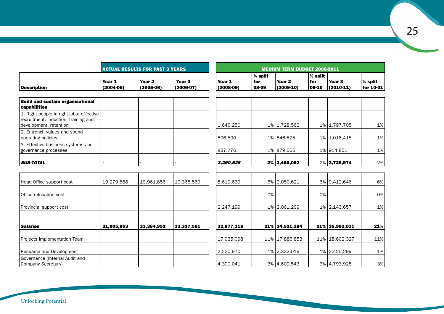|                                                                                                            |                         | <b>ACTUAL RESULTS FOR PAST 3 YEARS</b> |                                  |                       |                           | <b>MEDIUM TERM BUDGET 2008-2011</b> |                           |                                  |                        |
|------------------------------------------------------------------------------------------------------------|-------------------------|----------------------------------------|----------------------------------|-----------------------|---------------------------|-------------------------------------|---------------------------|----------------------------------|------------------------|
| <b>Description</b>                                                                                         | Year 1<br>$(2004 - 05)$ | Year <sub>2</sub><br>$(2005-06)$       | Year <sub>3</sub><br>$(2006-07)$ | Year 1<br>$(2008-09)$ | $%$ split<br>for<br>08-09 | Year <sub>2</sub><br>$(2009-10)$    | $%$ split<br>for<br>09-10 | Year <sub>3</sub><br>$(2010-11)$ | $%$ split<br>for 10-01 |
| <b>Build and sustain organisational</b><br>capabilities                                                    |                         |                                        |                                  |                       |                           |                                     |                           |                                  |                        |
| 1. Right people in right jobs; effective<br>recruitment, induction, training and<br>development, retention |                         |                                        |                                  | 1,646,250             |                           | 1% 1,728,563                        |                           | 1% 1,797,705                     | 1%                     |
| 2. Entrench values and sound<br>operating policies                                                         |                         |                                        |                                  | 806,500               |                           | 1% 846,825                          |                           | 1% 1,016,418                     | 1%                     |
| 3. Effective business systems and<br>governance processes                                                  |                         |                                        |                                  | 837,776               |                           | 1% 879,665                          |                           | 1% 914,851                       | 1%                     |
| <b>SUB-TOTAL</b>                                                                                           |                         |                                        |                                  | 3,290,526             |                           | $2\%$ 3,455,052                     |                           | 2% 3,728,974                     | 2%                     |
|                                                                                                            |                         |                                        |                                  |                       |                           |                                     |                           |                                  |                        |
| Head Office support cost                                                                                   | 19,279,568              | 19,961,856                             | 19,368,569                       | 8.619.639             |                           | 6% 9,050,621                        |                           | 6% 9.412,646                     | 6%                     |
| Office relocation cost                                                                                     |                         |                                        |                                  |                       | 0%                        |                                     | $0\%$                     |                                  | 0%                     |
| Provincial support cost                                                                                    |                         |                                        |                                  | 2,247,199             |                           | 1% 2.061,209                        |                           | 1% 2.143,657                     | 1%                     |
| <b>Salaries</b>                                                                                            | 31,005,863              | 33,364,952                             | 33,327,581                       | 32,877,318            |                           | 21% 34,521,184                      |                           | 21% 35,902,031                   | 21%                    |
| Projects Implementation Team                                                                               |                         |                                        |                                  | 17,035,098            |                           | 11% 17,886,853                      |                           | 11% 18,602,327                   | 11%                    |
| Research and Development                                                                                   |                         |                                        |                                  | 2,220,970             |                           | 1% 2,332,019                        |                           | 1% 2,425,299                     | 1%                     |
| Governance (Internal Audit and<br>Company Secretary)                                                       |                         |                                        |                                  | 4,390,041             |                           | 3% 4,609,543                        |                           | 3% 4,793,925                     | 3%                     |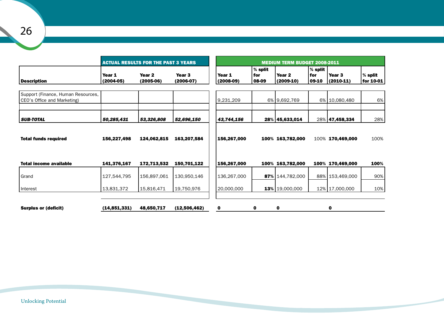|                                                                   |                         | <b>ACTUAL RESULTS FOR THE PAST 3 YEARS</b> |                                  |                       |                           | <b>MEDIUM TERM BUDGET 2008-2011</b> |                             |                                  |                        |
|-------------------------------------------------------------------|-------------------------|--------------------------------------------|----------------------------------|-----------------------|---------------------------|-------------------------------------|-----------------------------|----------------------------------|------------------------|
| Description                                                       | Year 1<br>$(2004 - 05)$ | Year <sub>2</sub><br>$(2005-06)$           | Year <sub>3</sub><br>$(2006-07)$ | Year 1<br>$(2008-09)$ | $%$ split<br>for<br>08-09 | Year <sub>2</sub><br>$(2009-10)$    | $%$ split<br>  for<br>09-10 | Year <sub>3</sub><br>$(2010-11)$ | $%$ split<br>for 10-01 |
| Support (Finance, Human Resources,<br>CEO's Office and Marketing) |                         |                                            |                                  | 9,231,209             |                           | 6% 9,692,769                        |                             | 6% 10,080,480                    | 6%                     |
| <b>SUB-TOTAL</b>                                                  | 50,285,431              | 53,326,808                                 | 52,696,150                       | 43,744,156            |                           | 28% 45,633,014                      |                             | 28% 47,458,334                   | 28%                    |
| <b>Total funds required</b>                                       | 156,227,498             | 124,062,815                                | 163,207,584                      | 156,267,000           |                           | 100% 163,782,000                    |                             | 100% 170,469,000                 | 100%                   |
| <b>Total income available</b>                                     | 141,376,167             | 172,713,532                                | 150,701,122                      | 156,267,000           |                           | 100% 163,782,000                    |                             | 100% 170,469,000                 | 100%                   |
| Grand                                                             | 127,544,795             | 156,897,061                                | 130,950,146                      | 136,267,000           | 87%                       | 144,782,000                         |                             | 88% 153,469,000                  | 90%                    |
| Interest                                                          | 13,831,372              | 15,816,471                                 | 19,750,976                       | 20,000,000            |                           | $13\%$   19,000,000                 |                             | 12% 17,000,000                   | 10%                    |
|                                                                   |                         |                                            |                                  |                       |                           |                                     |                             |                                  |                        |
| <b>Surplus or (deficit)</b>                                       | (14, 851, 331)          | 48,650,717                                 | (12,506,462)                     | 0                     | 0                         | $\mathbf 0$                         |                             | $\mathbf 0$                      |                        |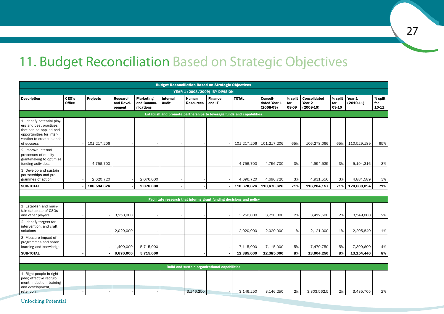### 11. Budget Reconciliation Based on Strategic Objectives

|                                                                                                                                                         |                        |                 |                                         |                                             |                   |                           | <b>Budget Reconciliation Based on Strategic Objectives</b> |                                                                     |                                         |                           |                                              |                           |                       |                           |
|---------------------------------------------------------------------------------------------------------------------------------------------------------|------------------------|-----------------|-----------------------------------------|---------------------------------------------|-------------------|---------------------------|------------------------------------------------------------|---------------------------------------------------------------------|-----------------------------------------|---------------------------|----------------------------------------------|---------------------------|-----------------------|---------------------------|
|                                                                                                                                                         |                        |                 |                                         |                                             |                   |                           | YEAR 1 (2008/2009) BY DIVISION                             |                                                                     |                                         |                           |                                              |                           |                       |                           |
| <b>Description</b>                                                                                                                                      | CEO's<br><b>Office</b> | <b>Projects</b> | <b>Research</b><br>and Devel-<br>opment | <b>Marketing</b><br>and Commu-<br>nications | Internal<br>Audit | Human<br><b>Resources</b> | <b>Finance</b><br>and IT                                   | <b>TOTAL</b>                                                        | Consoli-<br>dated Year 1<br>$(2008-09)$ | $%$ split<br>for<br>08-09 | <b>Consolidated</b><br>Year 2<br>$(2009-10)$ | $%$ split<br>for<br>09-10 | Year 1<br>$(2010-11)$ | $%$ split<br>for<br>10-11 |
| Establish and promote partnerships to leverage funds and capabilities                                                                                   |                        |                 |                                         |                                             |                   |                           |                                                            |                                                                     |                                         |                           |                                              |                           |                       |                           |
| 1. Identify potential play-<br>ers and best practices<br>that can be applied and<br>opportunities for inter-<br>vention to create islands<br>of success |                        | 101,217,206     |                                         |                                             |                   |                           |                                                            | 101,217,206                                                         | 101,217,206                             | 65%                       | 106,278,066                                  | 65%                       | 110,529,189           | 65%                       |
| 2. Improve internal<br>processes of quality<br>grant-making to optimise<br>funding activities.                                                          |                        | 4,756,700       |                                         |                                             |                   |                           |                                                            | 4,756,700                                                           | 4,756,700                               | 3%                        | 4,994,535                                    | 3%                        | 5,194,316             | 3%                        |
| 3. Develop and sustain<br>partnerships and pro-<br>grammes of action                                                                                    |                        | 2,620,720       |                                         | 2,076,000                                   |                   |                           |                                                            | 4,696,720                                                           | 4,696,720                               | 3%                        | 4,931,556                                    | 3%                        | 4,884,589             | 3%                        |
| <b>SUB-TOTAL</b>                                                                                                                                        |                        | 108,594,626     |                                         | 2,076,000                                   |                   |                           |                                                            | 110,670,626                                                         | 110,670,626                             | 71%                       | 116,204,157                                  | 71%                       | 120,608,094           | 71%                       |
|                                                                                                                                                         |                        |                 |                                         |                                             |                   |                           |                                                            |                                                                     |                                         |                           |                                              |                           |                       |                           |
|                                                                                                                                                         |                        |                 |                                         |                                             |                   |                           |                                                            | Facilitate research that informs grant funding decisions and policy |                                         |                           |                                              |                           |                       |                           |
| 1. Establish and main-<br>tain database of CSOs<br>and other players;                                                                                   |                        |                 | 3.250.000                               |                                             |                   |                           |                                                            | 3.250.000                                                           | 3.250.000                               | 2%                        | 3.412.500                                    | 2%                        | 3.549.000             | 2%                        |
| 2. Identify targets for<br>intervention, and craft<br>solutions                                                                                         |                        |                 | 2,020,000                               |                                             |                   |                           |                                                            | 2,020,000                                                           | 2,020,000                               | 1%                        | 2,121,000                                    | 1%                        | 2,205,840             | 1%                        |
| 3. Measure impact of<br>programmes and share<br>learning and knowledge                                                                                  |                        |                 | 1,400,000                               | 5,715,000                                   |                   |                           |                                                            | 7,115,000                                                           | 7,115,000                               | 5%                        | 7,470,750                                    | 5%                        | 7,399,600             | 4%                        |
| <b>SUB-TOTAL</b>                                                                                                                                        |                        |                 | 6,670,000                               | 5,715,000                                   |                   |                           |                                                            | 12,385,000                                                          | 12,385,000                              | 8%                        | 13,004,250                                   | 8%                        | 13,154,440            | 8%                        |
|                                                                                                                                                         |                        |                 |                                         |                                             |                   |                           |                                                            |                                                                     |                                         |                           |                                              |                           |                       |                           |
|                                                                                                                                                         |                        |                 |                                         |                                             |                   |                           | <b>Build and sustain organizational capabilities</b>       |                                                                     |                                         |                           |                                              |                           |                       |                           |
| 1. Right people in right<br>jobs; effective recruit-<br>ment, induction, training<br>and development,<br>retention                                      |                        |                 |                                         |                                             |                   | 3,146,250                 |                                                            | 3,146,250                                                           | 3,146,250                               | 2%                        | 3,303,562.5                                  | 2%                        | 3,435,705             | 2%                        |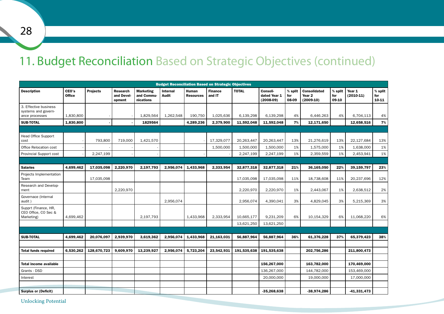### 11. Budget Reconciliation Based on Strategic Objectives (continued)

| <b>Budget Reconciliation Based on Strategic Objectives</b>     |                        |                 |                                         |                                             |                          |                           |                          |              |                                         |                         |                                                         |                         |                       |                             |
|----------------------------------------------------------------|------------------------|-----------------|-----------------------------------------|---------------------------------------------|--------------------------|---------------------------|--------------------------|--------------|-----------------------------------------|-------------------------|---------------------------------------------------------|-------------------------|-----------------------|-----------------------------|
| <b>Description</b>                                             | CEO's<br><b>Office</b> | <b>Projects</b> | <b>Research</b><br>and Devel-<br>opment | <b>Marketing</b><br>and Commu-<br>nications | <b>Internal</b><br>Audit | Human<br><b>Resources</b> | <b>Finance</b><br>and IT | <b>TOTAL</b> | Consoli-<br>dated Year 1<br>$(2008-09)$ | % split<br>for<br>08-09 | <b>Consolidated</b><br>Year <sub>2</sub><br>$(2009-10)$ | % split<br>for<br>09-10 | Year 1<br>$(2010-11)$ | $%$ split<br>for<br>$10-11$ |
| 3. Effective business<br>systems and govern-<br>ance processes | 1,830,800              |                 |                                         | 1.829.564                                   | 1,262,548                | 190.750                   | 1,025,636                | 6,139,298    | 6,139,298                               | 4%                      | 6,446.263                                               | 4%                      | 6,704,113             | 4%                          |
| <b>SUB-TOTAL</b>                                               | 1,830,800              |                 |                                         | 1829564                                     |                          | 4,289,236                 | 2,379,900                | 11,592,048   | 11,592,048                              | 7%                      | 12,171,650                                              |                         | 12,658,516            | 7%                          |
|                                                                |                        |                 |                                         |                                             |                          |                           |                          |              |                                         |                         |                                                         |                         |                       |                             |
| <b>Head Office Support</b><br>cost                             |                        | 793,800         | 719,000                                 | 1,421,570                                   |                          |                           | 17,329,077               | 20,263,447   | 20,263,447                              | 13%                     | 21,276,619                                              | 13%                     | 22,127,684            | 13%                         |
| Office Relocation cost                                         |                        |                 |                                         |                                             |                          |                           | 1,500,000                | 1,500,000    | 1,500,000                               | 1%                      | 1,575,000                                               | 1%                      | 1,638,000             | 1%                          |
| <b>Provincial Support cost</b>                                 |                        | 2.247.199       |                                         |                                             |                          |                           |                          | 2.247.199    | 2,247,199                               | 1%                      | 2,359,559                                               | 1%                      | 2,453,941             | 1%                          |
|                                                                |                        |                 |                                         |                                             |                          |                           |                          |              |                                         |                         |                                                         |                         |                       |                             |
| <b>Salaries</b>                                                | 4,699,462              | 17,035,098      | 2,220,970                               | 2,197,793                                   | 2,956,074                | 1,433,968                 | 2,333,954                | 32,877,318   | 32,877,318                              | 21%                     | 36,165,050                                              | 22%                     | 39,159,797            | 23%                         |
| Projects Implementation<br>Team                                |                        | 17,035,098      |                                         |                                             |                          |                           |                          | 17,035,098   | 17,035,098                              | 11%                     | 18,738,608                                              | 11%                     | 20,237,696            | 12%                         |
| Research and Develop-<br>ment                                  |                        |                 | 2.220.970                               |                                             |                          |                           |                          | 2.220.970    | 2,220,970                               | 1%                      | 2,443,067                                               | 1%                      | 2,638,512             | 2%                          |
| Governace (Internal<br>audit)                                  |                        |                 |                                         |                                             | 2,956,074                |                           |                          | 2,956,074    | 4,390,041                               | 3%                      | 4,829,045                                               | 3%                      | 5,215,369             | 3%                          |
| Supprt (Finance, HR,<br>CEO Office, CO Sec &<br>Marketing)     | 4,699,462              |                 |                                         | 2.197.793                                   |                          | 1,433,968                 | 2,333,954                | 10,665,177   | 9,231,209                               | 6%                      | 10,154,329                                              | 6%                      | 11,068,220            | 6%                          |
|                                                                |                        |                 |                                         |                                             |                          |                           |                          | 13,621,250   | 13,621,250                              |                         |                                                         |                         |                       |                             |
|                                                                |                        |                 |                                         |                                             |                          |                           |                          |              |                                         |                         |                                                         |                         |                       |                             |
| <b>SUB-TOTAL</b>                                               | 4,699,462              | 20,076,097      | 2,939,970                               | 3,619,362                                   | 2,956,074                | 1,433,968                 | 21,163,031               | 56,887,964   | 56,887,964                              | 36%                     | 61,376,228                                              | 37%                     | 65,379,423            | 38%                         |
|                                                                |                        |                 |                                         |                                             |                          |                           |                          |              |                                         |                         |                                                         |                         |                       |                             |
| <b>Total funds required</b>                                    | 6.530.262              | 128.670.723     | 9.609.970                               | 13.239.927                                  | 2.956.074                | 5.723.204                 | 23,542,931               | 191.535.638  | 191.535.638                             |                         | 202.756.286                                             |                         | 211.800.473           |                             |
|                                                                |                        |                 |                                         |                                             |                          |                           |                          |              |                                         |                         |                                                         |                         |                       |                             |
| <b>Total income available</b>                                  |                        |                 |                                         |                                             |                          |                           |                          |              | 156,267,000                             |                         | 163,782,000                                             |                         | 170,469,000           |                             |
| Grants - DSD                                                   |                        |                 |                                         |                                             |                          |                           |                          |              | 136.267.000                             |                         | 144,782,000                                             |                         | 153.469.000           |                             |
| Interest                                                       |                        |                 |                                         |                                             |                          |                           |                          |              | 20,000,000                              |                         | 19,000,000                                              |                         | 17,000,000            |                             |
|                                                                |                        |                 |                                         |                                             |                          |                           |                          |              |                                         |                         |                                                         |                         |                       |                             |
| <b>Surplus or (Deficit)</b>                                    |                        |                 |                                         |                                             |                          |                           |                          |              | $-35,268,638$                           |                         | -38,974,286                                             |                         | $-41,331,473$         |                             |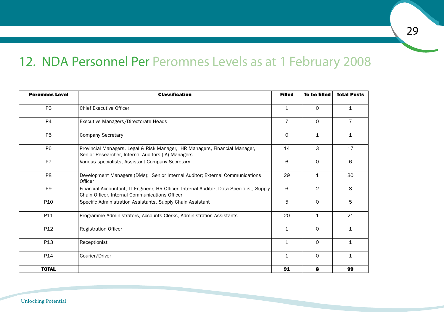### 12. NDA Personnel Per Peromnes Levels as at 1 February 2008

| <b>Peromnes Level</b> | <b>Classification</b>                                                                                                                      | <b>Filled</b>  | To be filled   | <b>Total Posts</b> |
|-----------------------|--------------------------------------------------------------------------------------------------------------------------------------------|----------------|----------------|--------------------|
| P <sub>3</sub>        | <b>Chief Executive Officer</b>                                                                                                             | $\mathbf{1}$   | $\Omega$       | $\mathbf{1}$       |
| P4                    | Executive Managers/Directorate Heads                                                                                                       | $\overline{7}$ | $\Omega$       | $\overline{7}$     |
| P <sub>5</sub>        | <b>Company Secretary</b>                                                                                                                   | 0              | $\mathbf{1}$   | $\mathbf{1}$       |
| P <sub>6</sub>        | Provincial Managers, Legal & Risk Manager, HR Managers, Financial Manager,<br>Senior Researcher, Internal Auditors (IA) Managers           | 14             | 3              | 17                 |
| P7                    | Various specialists, Assistant Company Secretary                                                                                           | 6              | $\Omega$       | 6                  |
| P <sub>8</sub>        | Development Managers (DMs); Senior Internal Auditor; External Communications<br>Officer                                                    | 29             | $\mathbf{1}$   | 30                 |
| P <sub>9</sub>        | Financial Accountant, IT Engineer, HR Officer, Internal Auditor; Data Specialist, Supply<br>Chain Officer, Internal Communications Officer | 6              | $\overline{2}$ | 8                  |
| P <sub>10</sub>       | Specific Administration Assistants, Supply Chain Assistant                                                                                 | 5              | $\mathbf 0$    | 5                  |
| P11                   | Programme Administrators, Accounts Clerks, Administration Assistants                                                                       | 20             | $\mathbf{1}$   | 21                 |
| P12                   | <b>Registration Officer</b>                                                                                                                | $\mathbf 1$    | $\mathbf 0$    | $\mathbf{1}$       |
| P13                   | Receptionist                                                                                                                               | $\mathbf{1}$   | $\Omega$       | $\mathbf{1}$       |
| P14                   | Courier/Driver                                                                                                                             | $\mathbf{1}$   | $\Omega$       | $\mathbf{1}$       |
| <b>TOTAL</b>          |                                                                                                                                            | 91             | 8              | 99                 |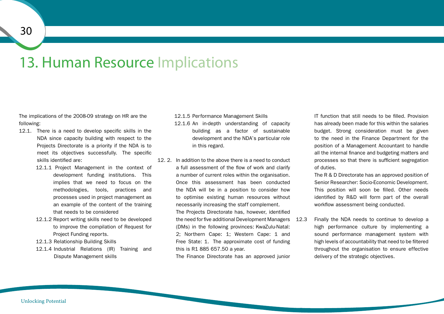### 13. Human Resource Implications

The implications of the 2008-09 strategy on HR are the following:

- 12.1. There is a need to develop specific skills in the NDA since capacity building with respect to the Projects Directorate is a priority if the NDA is to meet its objectives successfully. The specific skills identified are:
	- 12.1.1 Project Management in the context of development funding institutions. This implies that we need to focus on the methodologies, tools, practices and processes used in project management as an example of the content of the training that needs to be considered
	- 12.1.2 Report writing skills need to be developed to improve the compilation of Request for Project Funding reports.
	- 12.1.3 Relationship Building Skills
	- 12.1.4 Industrial Relations (IR) Training and Dispute Management skills

12.1.5 Performance Management Skills 12.1.6 An in-depth understanding of capacity building as a factor of sustainable development and the NDA's particular role in this regard.

12. 2. In addition to the above there is a need to conduct a full assessment of the flow of work and clarify a number of current roles within the organisation. Once this assessment has been conducted the NDA will be in a position to consider how to optimise existing human resources without necessarily increasing the staff complement. The Projects Directorate has, however, identified the need for five additional Development Managers (DMs) in the following provinces: KwaZulu-Natal: 2; Northern Cape: 1; Western Cape: 1 and Free State: 1. The approximate cost of funding this is R1 885 657.50 a year.

The Finance Directorate has an approved junior

IT function that still needs to be filled. Provision has already been made for this within the salaries budget. Strong consideration must be given to the need in the Finance Department for the position of a Management Accountant to handle all the internal finance and budgeting matters and processes so that there is sufficient segregation of duties.

The R & D Directorate has an approved position of Senior Researcher: Socio-Economic Development. This position will soon be filled. Other needs identified by R&D will form part of the overall workflow assessment being conducted.

Finally the NDA needs to continue to develop a high performance culture by implementing a sound performance management system with high levels of accountability that need to be filtered throughout the organisation to ensure effective delivery of the strategic objectives.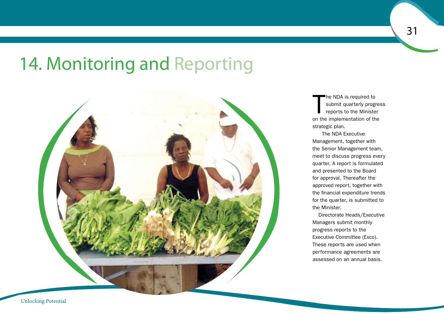## 14. Monitoring and Reporting



T he NDA is required to submit quarterly progress reports to the Minister on the implementation of the strategic plan.

31

The NDA Executive Management, together with the Senior Management team, meet to discuss progress every quarter. A report is formulated and presented to the Board for approval. Thereafter the approved report, together with the financial expenditure trends for the quarter, is submitted to the Minister.

Directorate Heads/Executive Managers submit monthly progress reports to the Executive Committee (Exco). These reports are used when performance agreements are assessed on an annual basis.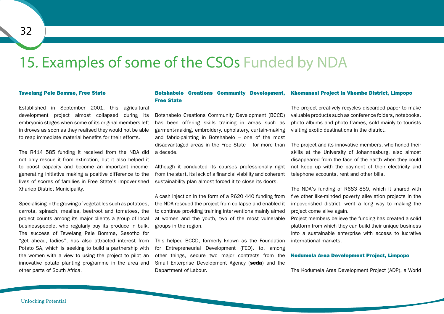### 15. Examples of some of the CSOs Funded by NDA

#### Tswelang Pele Bomme, Free State

Established in September 2001, this agricultural development project almost collapsed during its embryonic stages when some of its original members left in droves as soon as they realised they would not be able to reap immediate material benefits for their efforts.

The R414 585 funding it received from the NDA did not only rescue it from extinction, but it also helped it to boost capacity and become an important incomegenerating initiative making a positive difference to the lives of scores of families in Free State's impoverished Xhariep District Municipality.

Specialising inthegrowingof vegetables suchaspotatoes, carrots, spinach, mealies, beetroot and tomatoes, the project counts among its major clients a group of local businesspeople, who regularly buy its produce in bulk. The success of Tswelang Pele Bomme, Sesotho for "get ahead, ladies", has also attracted interest from Potato SA, which is seeking to build a partnership with the women with a view to using the project to pilot an innovative potato planting programme in the area and other parts of South Africa.

#### Botshabelo Creations Community Development, Free State Khomanani Project in Vhembe District, Limpopo

Botshabelo Creations Community Development (BCCD) has been offering skills training in areas such as garment-making, embroidery, upholstery, curtain-making and fabric-painting in Botshabelo – one of the most disadvantaged areas in the Free State – for more than a decade.

Although it conducted its courses professionally right from the start, its lack of a financial viability and coherent sustainability plan almost forced it to close its doors.

A cash injection in the form of a R620 440 funding from the NDA rescued the project from collapse and enabled it to continue providing training interventions mainly aimed at women and the youth, two of the most vulnerable groups in the region.

This helped BCCD, formerly known as the Foundation for Entrepreneurial Development (FED), to, among other things, secure two major contracts from the Small Enterprise Development Agency (seda) and the Department of Labour.

The project creatively recycles discarded paper to make valuable products such as conference folders, notebooks, photo albums and photo frames, sold mainly to tourists visiting exotic destinations in the district.

The project and its innovative members, who honed their skills at the University of Johannesburg, also almost disappeared from the face of the earth when they could not keep up with the payment of their electricity and telephone accounts, rent and other bills.

The NDA's funding of R683 859, which it shared with five other like-minded poverty alleviation projects in the impoverished district, went a long way to making the project come alive again.

Project members believe the funding has created a solid platform from which they can build their unique business into a sustainable enterprise with access to lucrative international markets.

#### Kodumela Area Development Project, Limpopo

The Kodumela Area Development Project (ADP), a World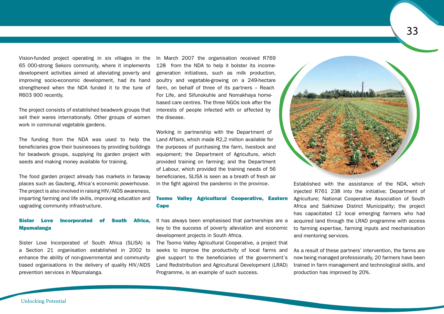Vision-funded project operating in six villages in the 65 000-strong Sekoro community, where it implements development activities aimed at alleviating poverty and improving socio-economic development, had its hand strengthened when the NDA funded it to the tune of R603 900 recently.

The project consists of established beadwork groups that sell their wares internationally. Other groups of women work in communal vegetable gardens.

The funding from the NDA was used to help the beneficiaries grow their businesses by providing buildings for beadwork groups, supplying its garden project with seeds and making money available for training.

The food garden project already has markets in faraway places such as Gauteng, Africa's economic powerhouse. The project is also involved in raising HIV/AIDS awareness, imparting farming and life skills, improving education and upgrading community infrastructure.

### Sister Love Incorporated of South Africa, **Mpumalanga**

Sister Love Incorporated of South Africa (SLISA) is a Section 21 organisation established in 2002 to enhance the ability of non-governmental and communitybased organisations in the delivery of quality HIV/AIDS prevention services in Mpumalanga.

In March 2007 the organisation received R769 128 from the NDA to help it bolster its incomegeneration initiatives, such as milk production, poultry and vegetable-growing on a 249-hectare farm, on behalf of three of its partners – Reach For Life, and Sifunokuhle and Nomakhaya homebased care centres. The three NGOs look after the interests of people infected with or affected by the disease.

Working in partnership with the Department of Land Affairs, which made R2,2 million available for the purposes of purchasing the farm, livestock and equipment; the Department of Agriculture, which provided training on farming; and the Department of Labour, which provided the training needs of 56 beneficiaries, SLISA is seen as a breath of fresh air in the fight against the pandemic in the province.

### Tsomo Valley Agricultural Cooperative, Eastern **Cape**

It has always been emphasised that partnerships are a key to the success of poverty alleviation and economic development projects in South Africa.

The Tsomo Valley Agricultural Cooperative, a project that seeks to improve the productivity of local farms and give support to the beneficiaries of the government's Land Redistribution and Agricultural Development (LRAD) Programme, is an example of such success.



injected R761 238 into the initiative; Department of Agriculture; National Cooperative Association of South Africa and Sakhizwe District Municipality; the project has capacitated 12 local emerging farmers who had acquired land through the LRAD programme with access to farming expertise, farming inputs and mechanisation and mentoring services.

As a result of these partners' intervention, the farms are now being managed professionally, 20 farmers have been trained in farm management and technological skills, and production has improved by 20%.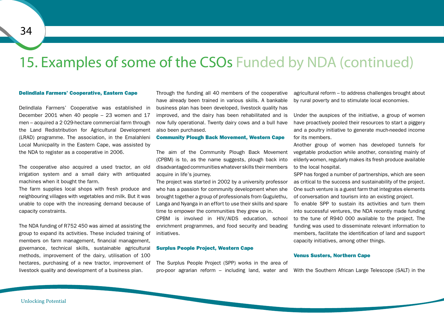### 15. Examples of some of the CSOs Funded by NDA (continued)

#### Delindlala Farmers' Cooperative, Eastern Cape

Delindlala Farmers' Cooperative was established in December 2001 when 40 people – 23 women and 17 men – acquired a 2 029-hectare commercial farm through the Land Redistribution for Agricultural Development (LRAD) programme. The association, in the Emalahleni Local Municpality in the Eastern Cape, was assisted by the NDA to register as a cooperative in 2006.

The cooperative also acquired a used tractor, an old irrigation system and a small dairy with antiquated machines when it bought the farm.

The farm supplies local shops with fresh produce and neighbouring villages with vegetables and milk. But it was unable to cope with the increasing demand because of capacity constraints.

The NDA funding of R752 450 was aimed at assisting the group to expand its activities. These included training of members on farm management, financial management, governance, technical skills, sustainable agricultural methods, improvement of the dairy, utilisation of 100 hectares, purchasing of a new tractor, improvement of livestock quality and development of a business plan.

Through the funding all 40 members of the cooperative have already been trained in various skills. A bankable business plan has been developed, livestock quality has improved, and the dairy has been rehabilitated and is now fully operational. Twenty dairy cows and a bull have also been purchased.

#### Community Plough Back Movement, Western Cape

The aim of the Community Plough Back Movement (CPBM) is to, as the name suggests, plough back into disadvantaged communitieswhatever skills their members acquire in life's journey.

The project was started in 2002 by a university professor who has a passion for community development when she brought together a group of professionals from Gugulethu, Langa and Nyanga in an effort to use their skills and spare time to empower the communities they grew up in.

CPBM is involved in HIV/AIDS education, school enrichment programmes, and food security and beading initiatives.

#### Surplus People Project, Western Cape

The Surplus People Project (SPP) works in the area of pro-poor agrarian reform – including land, water and

agricultural reform – to address challenges brought about by rural poverty and to stimulate local economies.

Under the auspices of the initiative, a group of women have proactively pooled their resources to start a piggery and a poultry initiative to generate much-needed income for its members.

Another group of women has developed tunnels for vegetable production while another, consisting mainly of elderly women, regularly makes its fresh produce available to the local hospital.

SPP has forged a number of partnerships, which are seen as critical to the success and sustainability of the project. One such venture is a guest farm that integrates elements of conversation and tourism into an existing project.

To enable SPP to sustain its activities and turn them into successful ventures, the NDA recently made funding to the tune of R940 000 available to the project. The funding was used to disseminate relevant information to members, facilitate the identification of land and support capacity initiatives, among other things.

#### Venus Susters, Northern Cape

With the Southern African Large Telescope (SALT) in the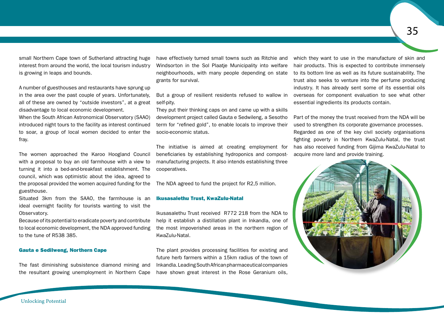small Northern Cape town of Sutherland attracting huge interest from around the world, the local tourism industry is growing in leaps and bounds.

A number of guesthouses and restaurants have sprung up in the area over the past couple of years. Unfortunately, all of these are owned by "outside investors", at a great disadvantage to local economic development.

When the South African Astronomical Observatory (SAAO) introduced night tours to the facility as interest continued to soar, a group of local women decided to enter the fray.

The women approached the Karoo Hoogland Council with a proposal to buy an old farmhouse with a view to turning it into a bed-and-breakfast establishment. The council, which was optimistic about the idea, agreed to the proposal provided the women acquired funding for the guesthouse.

Situated 3km from the SAAO, the farmhouse is an ideal overnight facility for tourists wanting to visit the Observatory.

Because of its potential to eradicate poverty and contribute to local economic development, the NDA approved funding to the tune of R538 385.

#### Gauta e Sedilweng, Northern Cape

The fast diminishing subsistence diamond mining and the resultant growing unemployment in Northern Cape have effectively turned small towns such as Ritchie and Windsorton in the Sol Plaatje Municipality into welfare neighbourhoods, with many people depending on state grants for survival.

But a group of resilient residents refused to wallow in self-pity.

They put their thinking caps on and came up with a skills development project called Gauta e Sedwileng, a Sesotho term for "refined gold", to enable locals to improve their socio-economic status.

The initiative is aimed at creating employment for beneficiaries by establishing hydroponics and compostmanufacturing projects. It also intends establishing three cooperatives.

The NDA agreed to fund the project for R2,5 million.

#### Ikusasalethu Trust, KwaZulu-Natal

Ikusasalethu Trust received R772 218 from the NDA to help it establish a distillation plant in Inkandla, one of the most impoverished areas in the northern region of KwaZulu-Natal.

The plant provides processing facilities for existing and future herb farmers within a 15km radius of the town of Inkandla.LeadingSouthAfricanpharmaceuticalcompanies have shown great interest in the Rose Geranium oils,

which they want to use in the manufacture of skin and hair products. This is expected to contribute immensely to its bottom line as well as its future sustainability. The trust also seeks to venture into the perfume producing industry. It has already sent some of its essential oils overseas for component evaluation to see what other essential ingredients its products contain.

Part of the money the trust received from the NDA will be used to strengthen its corporate governance processes. Regarded as one of the key civil society organisations fighting poverty in Northern KwaZulu-Natal, the trust has also received funding from Gijima KwaZulu-Natal to acquire more land and provide training.

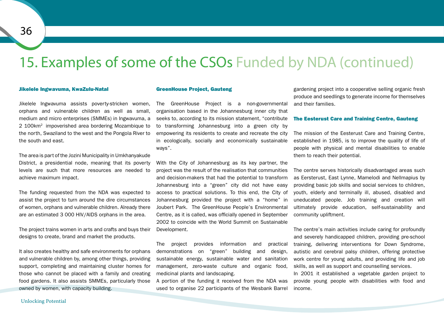### 15. Examples of some of the CSOs Funded by NDA (continued)

#### Jikelele Ingwavuma, KwaZulu-Natal

Jikelele Ingwavuma assists poverty-stricken women, orphans and vulnerable children as well as small, medium and micro enterprises (SMMEs) in Ingwavuma, a 2 100km2 impoverished area bordering Mozambique to the north, Swaziland to the west and the Pongola River to the south and east.

The area is part of the Jozini Municipality in Umkhanyakude District, a presidential node, meaning that its poverty levels are such that more resources are needed to achieve maximum impact.

The funding requested from the NDA was expected to assist the project to turn around the dire circumstances of women, orphans and vulnerable children. Already there are an estimated 3 000 HIV/AIDS orphans in the area.

The project trains women in arts and crafts and buys their designs to create, brand and market the products.

It also creates healthy and safe environments for orphans and vulnerable children by, among other things, providing support, completing and maintaining cluster homes for those who cannot be placed with a family and creating food gardens. It also assists SMMEs, particularly those owned by women, with capacity building.

#### GreenHouse Project, Gauteng

The GreenHouse Project is a non-governmental organisation based in the Johannesburg inner city that seeks to, according to its mission statement, "contribute to transforming Johannesburg into a green city by empowering its residents to create and recreate the city in ecologically, socially and economically sustainable ways".

With the City of Johannesburg as its key partner, the project was the result of the realisation that communities and decision-makers that had the potential to transform Johannesburg into a "green" city did not have easy access to practical solutions. To this end, the City of Johannesburg provided the project with a "home" in Joubert Park. The GreenHouse People's Environmental Centre, as it is called, was officially opened in September 2002 to coincide with the World Summit on Sustainable Development.

The project provides information and practical demonstrations on "green" building and design, sustainable energy, sustainable water and sanitation management, zero-waste culture and organic food, medicinal plants and landscaping.

A portion of the funding it received from the NDA was used to organise 22 participants of the Wesbank Barrel

gardening project into a cooperative selling organic fresh produce and seedlings to generate income for themselves and their families.

#### The Eesterust Care and Training Centre, Gauteng

The mission of the Eesterust Care and Training Centre, established in 1985, is to improve the quality of life of people with physical and mental disabilities to enable them to reach their potential.

The centre serves historically disadvantaged areas such as Eersterust, East Lynne, Mamelodi and Nellmapius by providing basic job skills and social services to children, youth, elderly and terminally ill, abused, disabled and uneducated people. Job training and creation will ultimately provide education, self-sustainability and community upliftment.

The centre's main activities include caring for profoundly and severely handicapped children, providing pre-school training, delivering interventions for Down Syndrome, autistic and cerebral palsy children, offering protective work centre for young adults, and providing life and job skills, as well as support and counselling services.

In 2001 it established a vegetable garden project to provide young people with disabilities with food and income.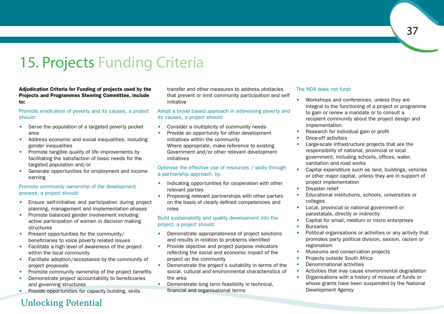### 15. Projects Funding Criteria

Adjudication Criteria for Funding of projects used by the Projects and Programmes Steering Committee, include to:

### Promote eradication of poverty and its causes, a project should:

- Serve the population of a targeted poverty pocket area
- Address economic and social inequalities, including gender inequalities
- Promote tangible quality of life improvements by facilitating the satisfaction of basic needs for the targeted population and/or
- Generate opportunities for employment and income earning

### Promote community ownership of the development process, a project should:

- Ensure self-initiative and participation during project planning, management and implementation phases
- Promote balanced gender involvement including active participation of women in decision making structures
- Present opportunities for the community/ beneficiaries to voice poverty related issues
- Facilitate a high level of awareness of the project within the local community
- Facilitate adoption/acceptance by the community of project proposals
- Promote community ownership of the project benefits
- • Demonstrate project accountability to beneficiaries and governing structures
- Provide opportunities for capacity building, skills

transfer and other measures to address obstacles that prevent or limit community participation and self initiative

### Adopt a broad based approach in addressing poverty and its causes, a project should:

- Consider a multiplicity of community needs
- Provide an opportunity for other development initiatives within the community Where appropriate, make reference to existing Government and/or other relevant development initiatives

### Optimise the effective use of resources / skills through a partnership approach, by:

- Indicating opportunities for cooperation with other relevant parties
- Proposing relevant partnerships with other parties on the basis of clearly defined competencies and roles

### Build sustainability and quality development into the project, a project should:

- Demonstrate appropriateness of project solutions and results in relation to problems identified
- Provide objective and project purpose indicators reflecting the social and economic impact of the project on the community
- Demonstrate the project's suitability in terms of the social, cultural and environmental characteristics of the area
- Demonstrate long term feasibility in technical, financial and organisational terms

### The NDA does not fund:

- Workshops and conferences, unless they are integral to the functioning of a project or programme to gain or renew a mandate or to consult a recipient community about the project design and implementation.
- Research for individual gain or profit
- Once-off activities
- Large-scale infrastructure projects that are the responsibility of national, provincial or local government, including schools, offices, water, sanitation and road works
- Capital expenditure such as land, buildings, vehicles or other major capital, unless they are in support of project implementation
- Disaster relief
- Educational institutions, schools, universities or colleges
- Local, provincial or national government or parastatals, directly or indirectly
- Capital for small, medium or micro enterprises
- • Bursaries
- Political organisations or activities or any activity that promotes party political division, sexism, racism or regionalism
- Museums and conservation projects
- Projects outside South Africa
- Denominational activities
- Activities that may cause environmental degradation
- Organisations with a history of misuse of funds or whose grants have been suspended by the National Development Agency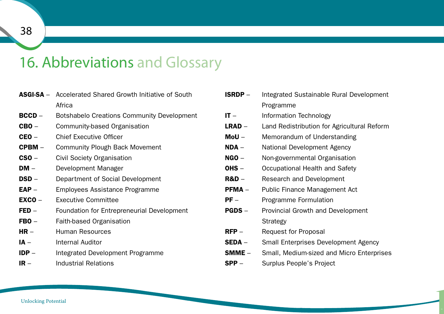### 16. Abbreviations and Glossary

| <b>ASGI-SA</b> – Accelerated Shared Growth Initiative of South |
|----------------------------------------------------------------|
| Africa                                                         |

- **BCCD** Botshabelo Creations Community Development
- CBO Community-based Organisation
- CEO Chief Executive Officer
- **CPBM** Community Plough Back Movement
- CSO Civil Society Organisation
- **DM** Development Manager
- **DSD** Department of Social Development
- **EAP** Employees Assistance Programme
- **EXCO Executive Committee**
- FED Foundation for Entrepreneurial Development
- FBO Faith-based Organisation
- **HR Human Resources**
- IA Internal Auditor
- **IDP** Integrated Development Programme
- **IR** Industrial Relations

| <b>ISRDP</b> –   | Integrated Sustainable Rural Development    |  |  |  |
|------------------|---------------------------------------------|--|--|--|
|                  | Programme                                   |  |  |  |
| $IT -$           | Information Technology                      |  |  |  |
| LRAD –           | Land Redistribution for Agricultural Reform |  |  |  |
| $M$ oU $-$       | Memorandum of Understanding                 |  |  |  |
| $NDA -$          | National Development Agency                 |  |  |  |
| $NGO -$          | Non-governmental Organisation               |  |  |  |
| OHS -            | Occupational Health and Safety              |  |  |  |
| <b>R&amp;D</b> – | Research and Development                    |  |  |  |
| $PFMA -$         | Public Finance Management Act               |  |  |  |
| $PF -$           | Programme Formulation                       |  |  |  |
| <b>PGDS -</b>    | Provincial Growth and Development           |  |  |  |
|                  | <b>Strategy</b>                             |  |  |  |
| $RFP-$           | <b>Request for Proposal</b>                 |  |  |  |
| SEDA –           | <b>Small Enterprises Development Agency</b> |  |  |  |
| SMME -           | Small, Medium-sized and Micro Enterprises   |  |  |  |
| $SPP -$          | Surplus People's Project                    |  |  |  |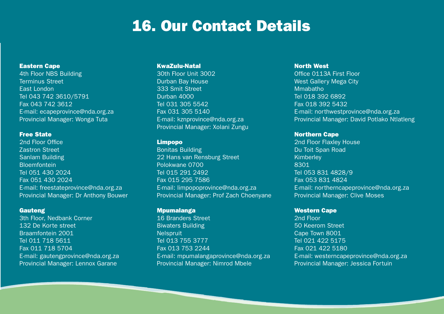### 16. Our Contact Details

### Eastern Cape

4th Floor NBS Building Terminus Street East London Tel 043 742 3610/5791 Fax 043 742 3612 E-mail: ecapeprovince@nda.org.za Provincial Manager: Wonga Tuta

### Free State

2nd Floor Office Zastron Street Sanlam Building **Bloemfontein** Tel 051 430 2024 Fax 051 430 2024 E-mail: freestateprovince@nda.org.za Provincial Manager: Dr Anthony Bouwer

### **Gauteng**

3th Floor, Nedbank Corner 132 De Korte street Braamfontein 2001 Tel 011 718 5611 Fax 011 718 5704 E-mail: gautengprovince@nda.org.za Provincial Manager: Lennox Garane

### KwaZulu-Natal

30th Floor Unit 3002 Durban Bay House 333 Smit Street Durban 4000 Tel 031 305 5542 Fax 031 305 5140 E-mail: kznprovince@nda.org.za Provincial Manager: Xolani Zungu

### Limpopo

Bonitas Building 22 Hans van Rensburg Street Polokwane 0700 Tel 015 291 2492 Fax 015 295 7586 E-mail: limpopoprovince@nda.org.za Provincial Manager: Prof Zach Choenyane

### Mpumalanga

16 Branders Street Biwaters Building **Nelspruit** Tel 013 755 3777 Fax 013 753 2244 E-mail: mpumalangaprovince@nda.org.za Provincial Manager: Nimrod Mbele

### North West

Office 0113A First Floor West Gallery Mega City Mmabatho Tel 018 392 6892 Fax 018 392 5432 E-mail: northwestprovince@nda.org.za Provincial Manager: David Potlako Ntlatleng

### Northern Cape

2nd Floor Flaxley House Du Toit Span Road Kimberley 8301 Tel 053 831 4828/9 Fax 053 831 4824 E-mail: northerncapeprovince@nda.org.za Provincial Manager: Clive Moses

### Western Cape

2nd Floor 50 Keerom Street Cape Town 8001 Tel 021 422 5175 Fax 021 422 5180 E-mail: westerncapeprovince@nda.org.za Provincial Manager: Jessica Fortuin